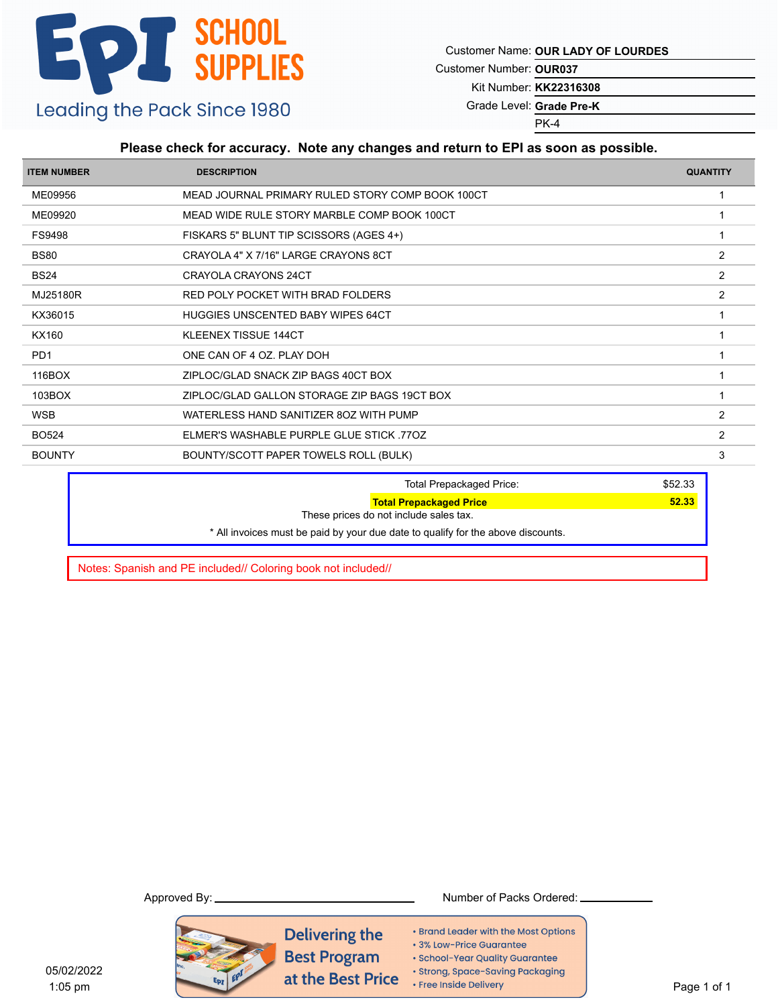Customer Name: **OUR LADY OF LOURDES**

Customer Number: **OUR037**

Kit Number: **KK22316308**

Grade Level: **Grade Pre-K**

PK-4

### **Please check for accuracy. Note any changes and return to EPI as soon as possible.**

| <b>ITEM NUMBER</b> | <b>DESCRIPTION</b>                               | <b>QUANTITY</b> |
|--------------------|--------------------------------------------------|-----------------|
| ME09956            | MEAD JOURNAL PRIMARY RULED STORY COMP BOOK 100CT |                 |
| ME09920            | MEAD WIDE RULE STORY MARBLE COMP BOOK 100CT      |                 |
| <b>FS9498</b>      | FISKARS 5" BLUNT TIP SCISSORS (AGES 4+)          |                 |
| <b>BS80</b>        | CRAYOLA 4" X 7/16" LARGE CRAYONS 8CT             | $\overline{2}$  |
| <b>BS24</b>        | CRAYOLA CRAYONS 24CT                             | 2               |
| MJ25180R           | RED POLY POCKET WITH BRAD FOLDERS                | 2               |
| KX36015            | <b>HUGGIES UNSCENTED BABY WIPES 64CT</b>         |                 |
| KX160              | <b>KLEENEX TISSUE 144CT</b>                      |                 |
| PD <sub>1</sub>    | ONE CAN OF 4 OZ. PLAY DOH                        |                 |
| 116BOX             | ZIPLOC/GLAD SNACK ZIP BAGS 40CT BOX              |                 |
| 103BOX             | ZIPLOC/GLAD GALLON STORAGE ZIP BAGS 19CT BOX     |                 |
| <b>WSB</b>         | WATERLESS HAND SANITIZER 80Z WITH PUMP           | 2               |
| <b>BO524</b>       | ELMER'S WASHABLE PURPLE GLUE STICK 770Z          | 2               |
| <b>BOUNTY</b>      | BOUNTY/SCOTT PAPER TOWELS ROLL (BULK)            | 3               |
|                    | <b>Total Prepackaged Price:</b>                  | \$52.33         |

**Total Prepackaged Price 62.33 Total Prepackaged Price 63.33** These prices do not include sales tax. \* All invoices must be paid by your due date to qualify for the above discounts.

Notes: Spanish and PE included// Coloring book not included//

#### Approved By: Number of Packs Ordered:

Delivering the **Best Program** at the Best Price

• Brand Leader with the Most Options • 3% Low-Price Guarantee

· School-Year Quality Guarantee

· Strong, Space-Saving Packaging

• Free Inside Delivery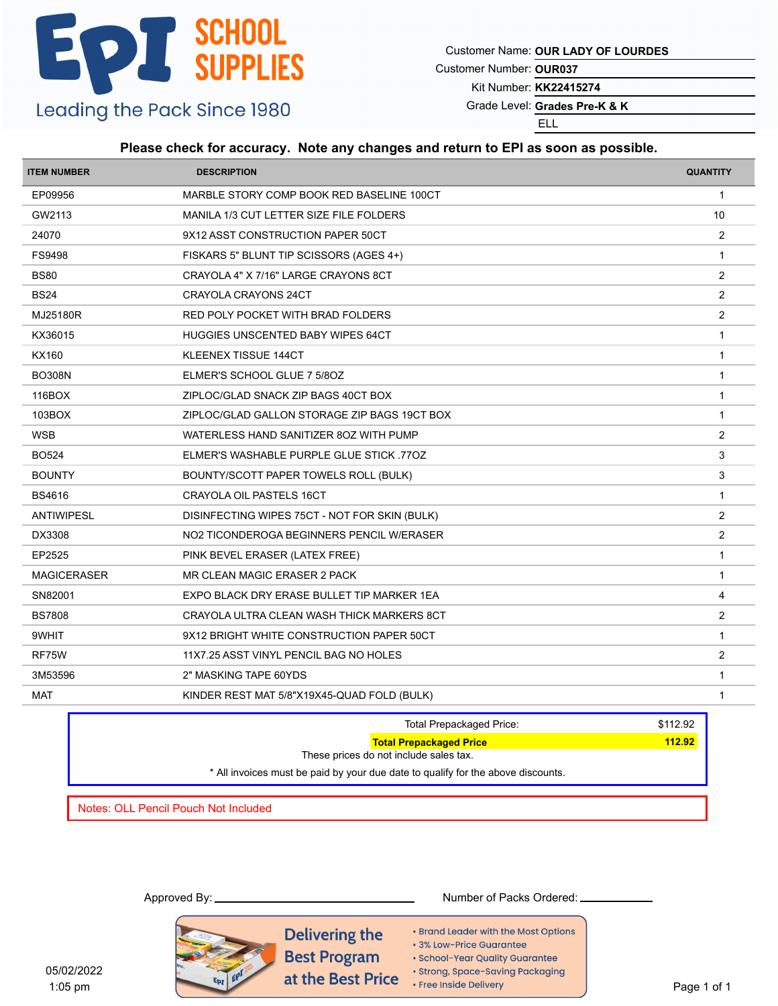Customer Name: **OUR LADY OF LOURDES**

Customer Number: **OUR037**

Kit Number: **KK22415274**

Grade Level: Grades Pre-K & K

ELL

### **Please check for accuracy. Note any changes and return to EPI as soon as possible.**

| <b>ITEM NUMBER</b> | <b>DESCRIPTION</b>                            | <b>QUANTITY</b> |
|--------------------|-----------------------------------------------|-----------------|
| EP09956            | MARBLE STORY COMP BOOK RED BASELINE 100CT     | $\mathbf{1}$    |
| GW2113             | MANILA 1/3 CUT LETTER SIZE FILE FOLDERS       | 10              |
| 24070              | 9X12 ASST CONSTRUCTION PAPER 50CT             | 2               |
| FS9498             | FISKARS 5" BLUNT TIP SCISSORS (AGES 4+)       | $\mathbf{1}$    |
| <b>BS80</b>        | CRAYOLA 4" X 7/16" LARGE CRAYONS 8CT          | 2               |
| <b>BS24</b>        | CRAYOLA CRAYONS 24CT                          | 2               |
| MJ25180R           | RED POLY POCKET WITH BRAD FOLDERS             | $\overline{2}$  |
| KX36015            | HUGGIES UNSCENTED BABY WIPES 64CT             | $\mathbf{1}$    |
| KX160              | KLEENEX TISSUE 144CT                          | $\mathbf{1}$    |
| <b>BO308N</b>      | ELMER'S SCHOOL GLUE 7 5/80Z                   | $\overline{1}$  |
| 116BOX             | ZIPLOC/GLAD SNACK ZIP BAGS 40CT BOX           | $\mathbf{1}$    |
| 103BOX             | ZIPLOC/GLAD GALLON STORAGE ZIP BAGS 19CT BOX  | $\overline{1}$  |
| <b>WSB</b>         | WATERLESS HAND SANITIZER 80Z WITH PUMP        | 2               |
| <b>BO524</b>       | ELMER'S WASHABLE PURPLE GLUE STICK 770Z       | 3               |
| <b>BOUNTY</b>      | BOUNTY/SCOTT PAPER TOWELS ROLL (BULK)         | 3               |
| <b>BS4616</b>      | CRAYOLA OIL PASTELS 16CT                      | $\mathbf{1}$    |
| <b>ANTIWIPESL</b>  | DISINFECTING WIPES 75CT - NOT FOR SKIN (BULK) | 2               |
| DX3308             | NO2 TICONDEROGA BEGINNERS PENCIL W/ERASER     | $\overline{2}$  |
| EP2525             | PINK BEVEL ERASER (LATEX FREE)                | $\mathbf{1}$    |
| <b>MAGICERASER</b> | MR CLEAN MAGIC ERASER 2 PACK                  | $\mathbf{1}$    |
| SN82001            | EXPO BLACK DRY ERASE BULLET TIP MARKER 1EA    | 4               |
| <b>BS7808</b>      | CRAYOLA ULTRA CLEAN WASH THICK MARKERS 8CT    | $\overline{2}$  |
| 9WHIT              | 9X12 BRIGHT WHITE CONSTRUCTION PAPER 50CT     | $\mathbf{1}$    |
| RF75W              | 11X7.25 ASST VINYL PENCIL BAG NO HOLES        | $\overline{c}$  |
| 3M53596            | 2" MASKING TAPE 60YDS                         | $\mathbf{1}$    |
| MAT                | KINDER REST MAT 5/8"X19X45-QUAD FOLD (BULK)   | $\overline{1}$  |
|                    |                                               |                 |

| <b>Total Prepackaged Price:</b>                                                  | \$112.92 |
|----------------------------------------------------------------------------------|----------|
| <b>Total Prepackaged Price</b>                                                   | 112.92   |
| These prices do not include sales tax.                                           |          |
| * All invoices must be paid by your due date to qualify for the above discounts. |          |
|                                                                                  |          |

Notes: OLL Pencil Pouch Not Included

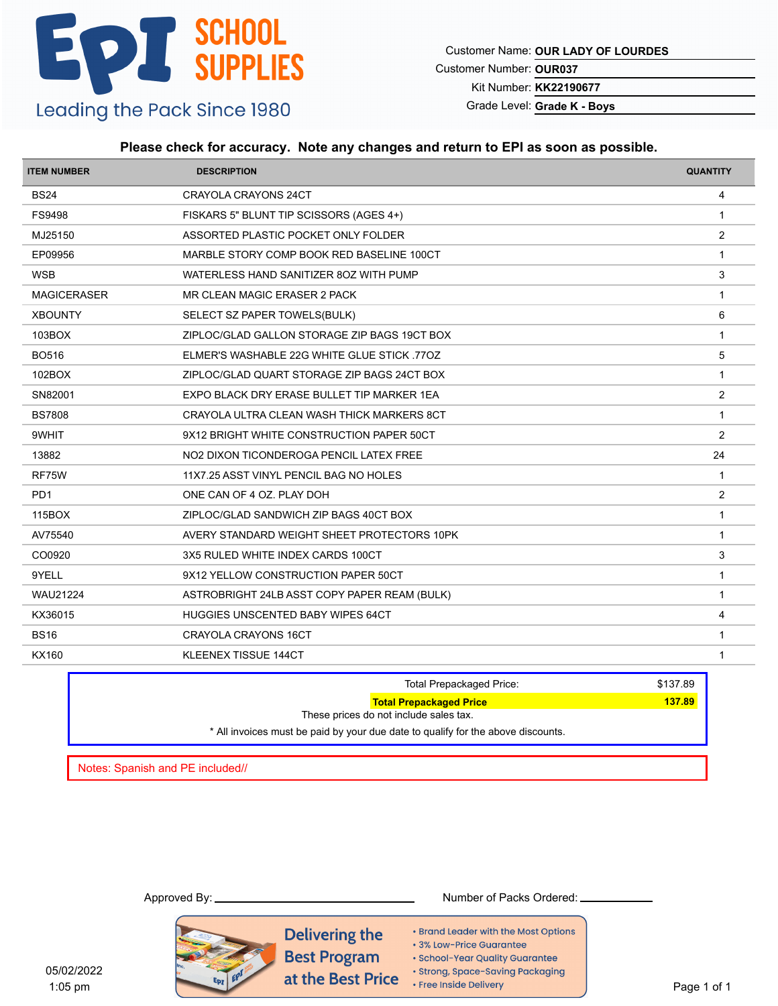Customer Name: **OUR LADY OF LOURDES**

Customer Number: **OUR037**

Kit Number: **KK22190677**

Grade Level: Grade K - Boys

#### **Please check for accuracy. Note any changes and return to EPI as soon as possible.**

| <b>ITEM NUMBER</b> | <b>DESCRIPTION</b>                           | <b>QUANTITY</b> |
|--------------------|----------------------------------------------|-----------------|
| <b>BS24</b>        | CRAYOLA CRAYONS 24CT                         | 4               |
| FS9498             | FISKARS 5" BLUNT TIP SCISSORS (AGES 4+)      | $\overline{1}$  |
| MJ25150            | ASSORTED PLASTIC POCKET ONLY FOLDER          | 2               |
| EP09956            | MARBLE STORY COMP BOOK RED BASELINE 100CT    | $\mathbf{1}$    |
| <b>WSB</b>         | WATERLESS HAND SANITIZER 80Z WITH PUMP       | 3               |
| <b>MAGICERASER</b> | MR CLEAN MAGIC ERASER 2 PACK                 | $\overline{1}$  |
| <b>XBOUNTY</b>     | SELECT SZ PAPER TOWELS(BULK)                 | 6               |
| 103BOX             | ZIPLOC/GLAD GALLON STORAGE ZIP BAGS 19CT BOX | $\mathbf{1}$    |
| <b>BO516</b>       | ELMER'S WASHABLE 22G WHITE GLUE STICK .77OZ  | 5               |
| 102BOX             | ZIPLOC/GLAD QUART STORAGE ZIP BAGS 24CT BOX  | -1              |
| SN82001            | EXPO BLACK DRY ERASE BULLET TIP MARKER 1EA   | $\overline{2}$  |
| <b>BS7808</b>      | CRAYOLA ULTRA CLEAN WASH THICK MARKERS 8CT   | -1              |
| 9WHIT              | 9X12 BRIGHT WHITE CONSTRUCTION PAPER 50CT    | 2               |
| 13882              | NO2 DIXON TICONDEROGA PENCIL LATEX FREE      | 24              |
| RF75W              | 11X7.25 ASST VINYL PENCIL BAG NO HOLES       | $\mathbf{1}$    |
| PD <sub>1</sub>    | ONE CAN OF 4 OZ. PLAY DOH                    | $\overline{2}$  |
| 115BOX             | ZIPLOC/GLAD SANDWICH ZIP BAGS 40CT BOX       | $\overline{1}$  |
| AV75540            | AVERY STANDARD WEIGHT SHEET PROTECTORS 10PK  | $\mathbf{1}$    |
| CO0920             | 3X5 RULED WHITE INDEX CARDS 100CT            | 3               |
| 9YELL              | 9X12 YELLOW CONSTRUCTION PAPER 50CT          | -1              |
| <b>WAU21224</b>    | ASTROBRIGHT 24LB ASST COPY PAPER REAM (BULK) | $\overline{1}$  |
| KX36015            | HUGGIES UNSCENTED BABY WIPES 64CT            | 4               |
| <b>BS16</b>        | <b>CRAYOLA CRAYONS 16CT</b>                  | -1              |
| <b>KX160</b>       | <b>KLEENEX TISSUE 144CT</b>                  | $\mathbf{1}$    |

|                                  | <b>Total Prepackaged Price:</b>                                                  | \$137.89 |
|----------------------------------|----------------------------------------------------------------------------------|----------|
|                                  | <b>Total Prepackaged Price</b>                                                   | 137.89   |
|                                  | These prices do not include sales tax.                                           |          |
|                                  | * All invoices must be paid by your due date to qualify for the above discounts. |          |
|                                  |                                                                                  |          |
| Notes: Spanish and PE included// |                                                                                  |          |

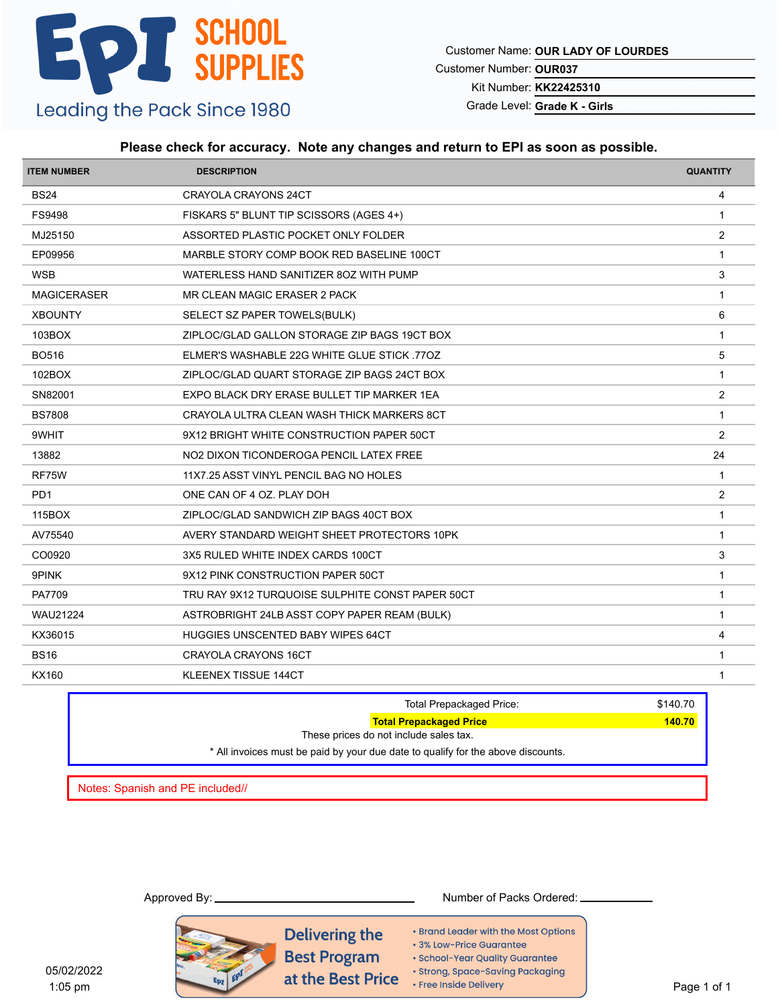Customer Name: **OUR LADY OF LOURDES**

Customer Number: **OUR037**

Kit Number: **KK22425310**

Grade Level: Grade K - Girls

### **Please check for accuracy. Note any changes and return to EPI as soon as possible.**

| <b>ITEM NUMBER</b> | <b>DESCRIPTION</b>                               | <b>QUANTITY</b> |
|--------------------|--------------------------------------------------|-----------------|
| <b>BS24</b>        | CRAYOLA CRAYONS 24CT                             | 4               |
| <b>FS9498</b>      | FISKARS 5" BLUNT TIP SCISSORS (AGES 4+)          | $\mathbf{1}$    |
| MJ25150            | ASSORTED PLASTIC POCKET ONLY FOLDER              | $\overline{2}$  |
| EP09956            | MARBLE STORY COMP BOOK RED BASELINE 100CT        | -1              |
| <b>WSB</b>         | WATERLESS HAND SANITIZER 80Z WITH PUMP           | 3               |
| <b>MAGICERASER</b> | MR CLEAN MAGIC ERASER 2 PACK                     | $\mathbf{1}$    |
| <b>XBOUNTY</b>     | SELECT SZ PAPER TOWELS(BULK)                     | 6               |
| 103BOX             | ZIPLOC/GLAD GALLON STORAGE ZIP BAGS 19CT BOX     | $\mathbf{1}$    |
| <b>BO516</b>       | ELMER'S WASHABLE 22G WHITE GLUE STICK .77OZ      | 5               |
| 102BOX             | ZIPLOC/GLAD QUART STORAGE ZIP BAGS 24CT BOX      | $\mathbf{1}$    |
| SN82001            | EXPO BLACK DRY ERASE BULLET TIP MARKER 1EA       | $\overline{2}$  |
| <b>BS7808</b>      | CRAYOLA ULTRA CLEAN WASH THICK MARKERS 8CT       | $\mathbf{1}$    |
| 9WHIT              | 9X12 BRIGHT WHITE CONSTRUCTION PAPER 50CT        | 2               |
| 13882              | NO2 DIXON TICONDEROGA PENCIL LATEX FREE          | 24              |
| RF75W              | 11X7.25 ASST VINYL PENCIL BAG NO HOLES           | $\mathbf{1}$    |
| PD <sub>1</sub>    | ONE CAN OF 4 OZ. PLAY DOH                        | $\overline{2}$  |
| 115BOX             | ZIPLOC/GLAD SANDWICH ZIP BAGS 40CT BOX           | $\overline{1}$  |
| AV75540            | AVERY STANDARD WEIGHT SHEET PROTECTORS 10PK      | $\overline{1}$  |
| CO0920             | 3X5 RULED WHITE INDEX CARDS 100CT                | 3               |
| 9PINK              | 9X12 PINK CONSTRUCTION PAPER 50CT                | $\mathbf{1}$    |
| PA7709             | TRU RAY 9X12 TURQUOISE SULPHITE CONST PAPER 50CT | $\mathbf{1}$    |
| <b>WAU21224</b>    | ASTROBRIGHT 24LB ASST COPY PAPER REAM (BULK)     | $\mathbf{1}$    |
| KX36015            | HUGGIES UNSCENTED BABY WIPES 64CT                | 4               |
| <b>BS16</b>        | <b>CRAYOLA CRAYONS 16CT</b>                      | $\mathbf{1}$    |
| <b>KX160</b>       | <b>KLEENEX TISSUE 144CT</b>                      | $\overline{1}$  |

| <b>Total Prepackaged Price:</b>                                                  | \$140.70 |
|----------------------------------------------------------------------------------|----------|
| <b>Total Prepackaged Price</b>                                                   | 140.70   |
| These prices do not include sales tax.                                           |          |
| * All invoices must be paid by your due date to qualify for the above discounts. |          |
|                                                                                  |          |
|                                                                                  |          |

Notes: Spanish and PE included//

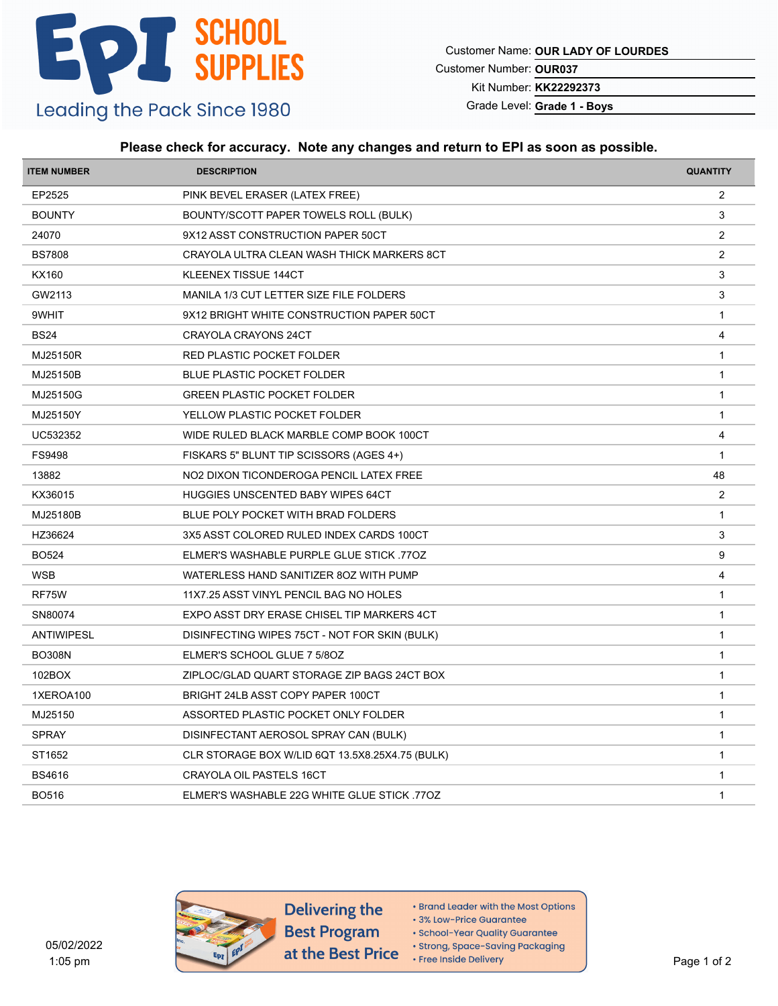Customer Name: **OUR LADY OF LOURDES**

Customer Number: **OUR037**

Kit Number: **KK22292373**

Grade Level: **Grade 1 - Boys**

### **Please check for accuracy. Note any changes and return to EPI as soon as possible.**

| <b>ITEM NUMBER</b> | <b>DESCRIPTION</b>                              | <b>QUANTITY</b>         |
|--------------------|-------------------------------------------------|-------------------------|
| EP2525             | PINK BEVEL ERASER (LATEX FREE)                  | $\overline{2}$          |
| <b>BOUNTY</b>      | BOUNTY/SCOTT PAPER TOWELS ROLL (BULK)           | 3                       |
| 24070              | 9X12 ASST CONSTRUCTION PAPER 50CT               | 2                       |
| <b>BS7808</b>      | CRAYOLA ULTRA CLEAN WASH THICK MARKERS 8CT      | $\overline{2}$          |
| KX160              | KLEENEX TISSUE 144CT                            | 3                       |
| GW2113             | MANILA 1/3 CUT LETTER SIZE FILE FOLDERS         | 3                       |
| 9WHIT              | 9X12 BRIGHT WHITE CONSTRUCTION PAPER 50CT       | $\overline{1}$          |
| <b>BS24</b>        | CRAYOLA CRAYONS 24CT                            | 4                       |
| MJ25150R           | RED PLASTIC POCKET FOLDER                       | $\mathbf{1}$            |
| MJ25150B           | <b>BLUE PLASTIC POCKET FOLDER</b>               | $\mathbf{1}$            |
| MJ25150G           | <b>GREEN PLASTIC POCKET FOLDER</b>              | $\mathbf{1}$            |
| MJ25150Y           | YELLOW PLASTIC POCKET FOLDER                    | $\mathbf{1}$            |
| UC532352           | WIDE RULED BLACK MARBLE COMP BOOK 100CT         | 4                       |
| FS9498             | FISKARS 5" BLUNT TIP SCISSORS (AGES 4+)         | $\mathbf{1}$            |
| 13882              | NO2 DIXON TICONDEROGA PENCIL LATEX FREE         | 48                      |
| KX36015            | <b>HUGGIES UNSCENTED BABY WIPES 64CT</b>        | 2                       |
| MJ25180B           | BLUE POLY POCKET WITH BRAD FOLDERS              | $\mathbf{1}$            |
| HZ36624            | 3X5 ASST COLORED RULED INDEX CARDS 100CT        | 3                       |
| <b>BO524</b>       | ELMER'S WASHABLE PURPLE GLUE STICK .770Z        | 9                       |
| <b>WSB</b>         | WATERLESS HAND SANITIZER 80Z WITH PUMP          | 4                       |
| RF75W              | 11X7.25 ASST VINYL PENCIL BAG NO HOLES          | $\mathbf{1}$            |
| SN80074            | EXPO ASST DRY ERASE CHISEL TIP MARKERS 4CT      | $\overline{1}$          |
| <b>ANTIWIPESL</b>  | DISINFECTING WIPES 75CT - NOT FOR SKIN (BULK)   | $\mathbf{1}$            |
| <b>BO308N</b>      | ELMER'S SCHOOL GLUE 7 5/80Z                     | $\mathbf{1}$            |
| 102BOX             | ZIPLOC/GLAD QUART STORAGE ZIP BAGS 24CT BOX     | $\mathbf{1}$            |
| 1XEROA100          | BRIGHT 24LB ASST COPY PAPER 100CT               | $\mathbf{1}$            |
| MJ25150            | ASSORTED PLASTIC POCKET ONLY FOLDER             | $\mathbf{1}$            |
| <b>SPRAY</b>       | DISINFECTANT AEROSOL SPRAY CAN (BULK)           | $\mathbf{1}$            |
| ST1652             | CLR STORAGE BOX W/LID 6QT 13.5X8.25X4.75 (BULK) | $\overline{1}$          |
| <b>BS4616</b>      | CRAYOLA OIL PASTELS 16CT                        | $\overline{\mathbf{1}}$ |
| <b>BO516</b>       | ELMER'S WASHABLE 22G WHITE GLUE STICK 770Z      | $\mathbf{1}$            |
|                    |                                                 |                         |



Delivering the **Best Program** at the Best Price

- Brand Leader with the Most Options
- 3% Low-Price Guarantee

· Strong, Space-Saving Packaging

<sup>·</sup> School-Year Quality Guarantee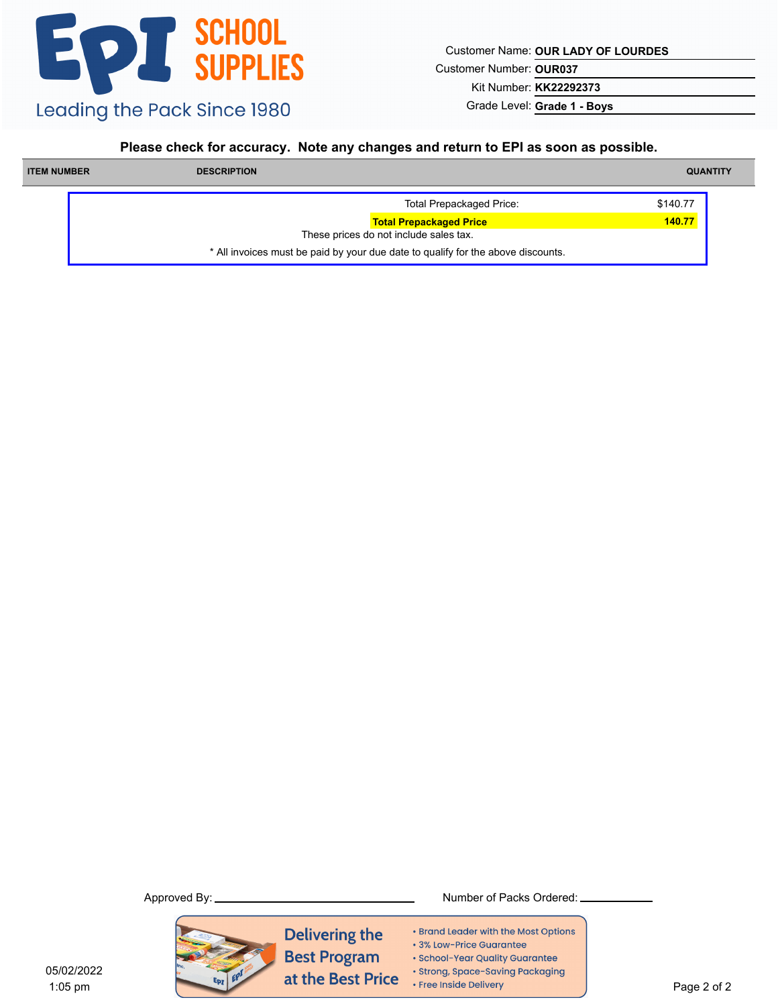Customer Name: **OUR LADY OF LOURDES**

Customer Number: **OUR037**

Kit Number: **KK22292373**

Grade Level: **Grade 1 - Boys**

#### **Please check for accuracy. Note any changes and return to EPI as soon as possible.**

| <b>ITEM NUMBER</b> | <b>DESCRIPTION</b>                                                               | <b>QUANTITY</b> |
|--------------------|----------------------------------------------------------------------------------|-----------------|
|                    | <b>Total Prepackaged Price:</b>                                                  | \$140.77        |
|                    | <b>Total Prepackaged Price</b>                                                   | 140.77          |
|                    | These prices do not include sales tax.                                           |                 |
|                    | * All invoices must be paid by your due date to qualify for the above discounts. |                 |



- Brand Leader with the Most Options
- 3% Low-Price Guarantee
- · School-Year Quality Guarantee
- · Strong, Space-Saving Packaging
- Free Inside Delivery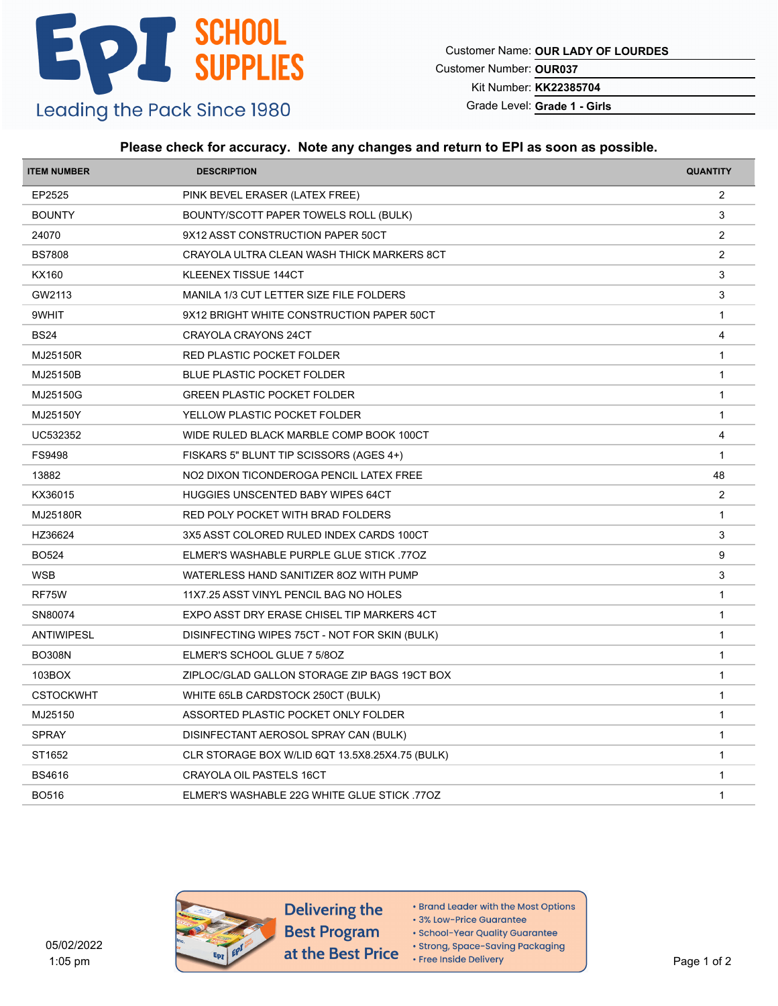Customer Name: **OUR LADY OF LOURDES**

Customer Number: **OUR037**

Kit Number: **KK22385704**

Grade Level: **Grade 1 - Girls**

### **Please check for accuracy. Note any changes and return to EPI as soon as possible.**

| <b>ITEM NUMBER</b> | <b>DESCRIPTION</b>                              | <b>QUANTITY</b> |
|--------------------|-------------------------------------------------|-----------------|
| EP2525             | PINK BEVEL ERASER (LATEX FREE)                  | $\overline{2}$  |
| <b>BOUNTY</b>      | BOUNTY/SCOTT PAPER TOWELS ROLL (BULK)           | 3               |
| 24070              | 9X12 ASST CONSTRUCTION PAPER 50CT               | 2               |
| <b>BS7808</b>      | CRAYOLA ULTRA CLEAN WASH THICK MARKERS 8CT      | 2               |
| <b>KX160</b>       | <b>KLEENEX TISSUE 144CT</b>                     | 3               |
| GW2113             | MANILA 1/3 CUT LETTER SIZE FILE FOLDERS         | 3               |
| 9WHIT              | 9X12 BRIGHT WHITE CONSTRUCTION PAPER 50CT       | $\mathbf{1}$    |
| <b>BS24</b>        | CRAYOLA CRAYONS 24CT                            | $\overline{4}$  |
| MJ25150R           | RED PLASTIC POCKET FOLDER                       | $\mathbf{1}$    |
| MJ25150B           | <b>BLUE PLASTIC POCKET FOLDER</b>               | $\mathbf{1}$    |
| MJ25150G           | <b>GREEN PLASTIC POCKET FOLDER</b>              | $\mathbf{1}$    |
| MJ25150Y           | YELLOW PLASTIC POCKET FOLDER                    | $\mathbf{1}$    |
| UC532352           | WIDE RULED BLACK MARBLE COMP BOOK 100CT         | 4               |
| FS9498             | FISKARS 5" BLUNT TIP SCISSORS (AGES 4+)         | $\overline{1}$  |
| 13882              | NO2 DIXON TICONDEROGA PENCIL LATEX FREE         | 48              |
| KX36015            | <b>HUGGIES UNSCENTED BABY WIPES 64CT</b>        | 2               |
| MJ25180R           | RED POLY POCKET WITH BRAD FOLDERS               | $\mathbf 1$     |
| HZ36624            | 3X5 ASST COLORED RULED INDEX CARDS 100CT        | $\sqrt{3}$      |
| <b>BO524</b>       | ELMER'S WASHABLE PURPLE GLUE STICK 770Z         | 9               |
| <b>WSB</b>         | WATERLESS HAND SANITIZER 80Z WITH PUMP          | 3               |
| RF75W              | 11X7.25 ASST VINYL PENCIL BAG NO HOLES          | $\mathbf{1}$    |
| SN80074            | EXPO ASST DRY ERASE CHISEL TIP MARKERS 4CT      | $\overline{1}$  |
| ANTIWIPESL         | DISINFECTING WIPES 75CT - NOT FOR SKIN (BULK)   | $\mathbf{1}$    |
| <b>BO308N</b>      | ELMER'S SCHOOL GLUE 7 5/80Z                     | $\mathbf{1}$    |
| 103BOX             | ZIPLOC/GLAD GALLON STORAGE ZIP BAGS 19CT BOX    | $\mathbf{1}$    |
| <b>CSTOCKWHT</b>   | WHITE 65LB CARDSTOCK 250CT (BULK)               | $\mathbf{1}$    |
| MJ25150            | ASSORTED PLASTIC POCKET ONLY FOLDER             | $\overline{1}$  |
| <b>SPRAY</b>       | DISINFECTANT AEROSOL SPRAY CAN (BULK)           | $\mathbf{1}$    |
| ST1652             | CLR STORAGE BOX W/LID 6QT 13.5X8.25X4.75 (BULK) | $\mathbf{1}$    |
| <b>BS4616</b>      | CRAYOLA OIL PASTELS 16CT                        | $\mathbf{1}$    |
| <b>BO516</b>       | ELMER'S WASHABLE 22G WHITE GLUE STICK 770Z      | $\mathbf{1}$    |
|                    |                                                 |                 |



Delivering the **Best Program** at the Best Price

- Brand Leader with the Most Options
- 3% Low-Price Guarantee

· School-Year Quality Guarantee

· Strong, Space-Saving Packaging

• Free Inside Delivery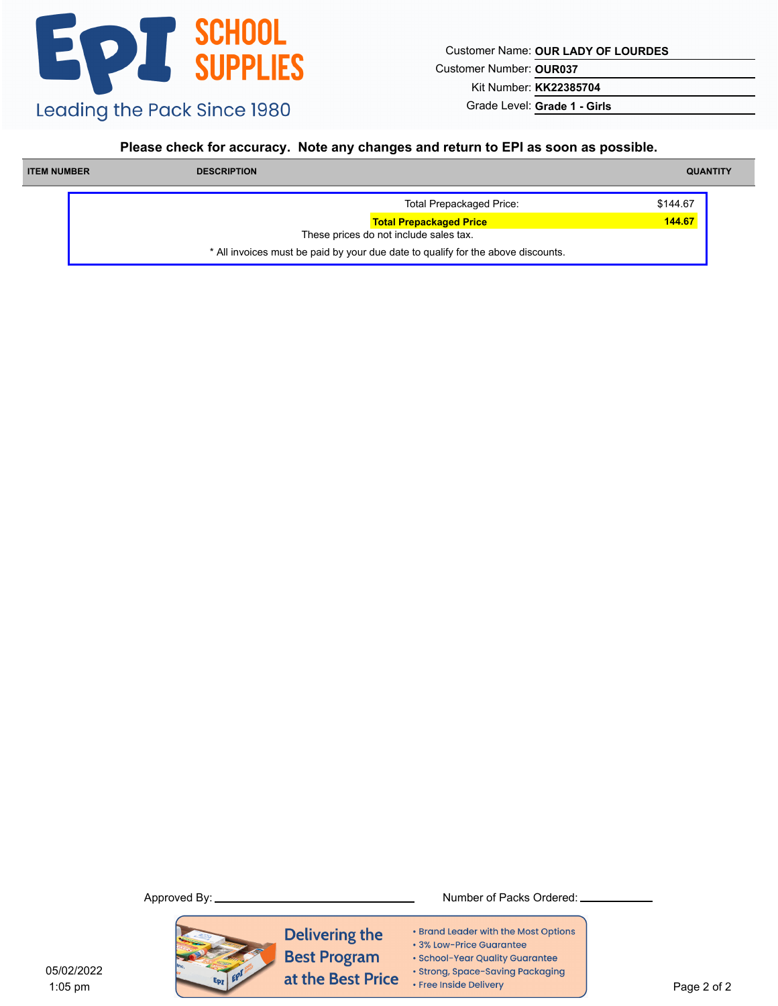Customer Name: **OUR LADY OF LOURDES**

Customer Number: **OUR037**

Kit Number: **KK22385704**

Grade Level: **Grade 1 - Girls**

#### **Please check for accuracy. Note any changes and return to EPI as soon as possible.**

| <b>ITEM NUMBER</b> | <b>DESCRIPTION</b>                                                               | <b>QUANTITY</b> |
|--------------------|----------------------------------------------------------------------------------|-----------------|
|                    | <b>Total Prepackaged Price:</b>                                                  | \$144.67        |
|                    | <b>Total Prepackaged Price</b>                                                   | 144.67          |
|                    | These prices do not include sales tax.                                           |                 |
|                    | * All invoices must be paid by your due date to qualify for the above discounts. |                 |



- Brand Leader with the Most Options
- 3% Low-Price Guarantee
- · School-Year Quality Guarantee
- · Strong, Space-Saving Packaging
- Free Inside Delivery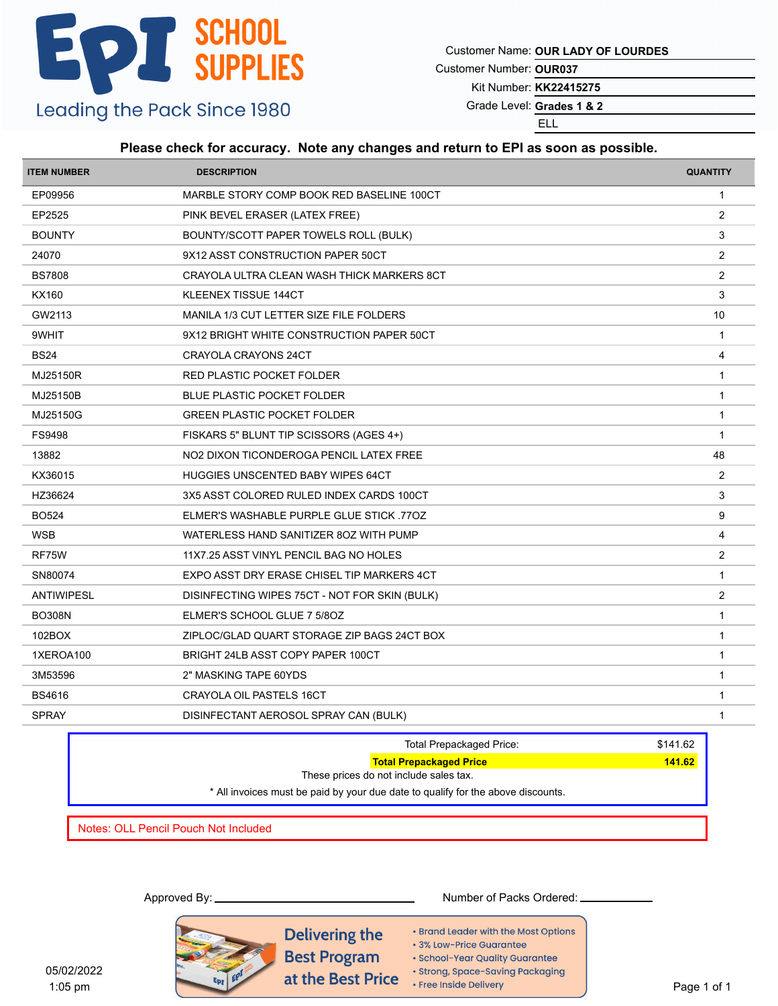Customer Name: **OUR LADY OF LOURDES**

Customer Number: **OUR037**

Kit Number: **KK22415275**

Grade Level: Grades 1 & 2

ELL

### **Please check for accuracy. Note any changes and return to EPI as soon as possible.**

| <b>ITEM NUMBER</b> | <b>DESCRIPTION</b>                            | <b>QUANTITY</b> |
|--------------------|-----------------------------------------------|-----------------|
| EP09956            | MARBLE STORY COMP BOOK RED BASELINE 100CT     | $\mathbf{1}$    |
| EP2525             | PINK BEVEL ERASER (LATEX FREE)                | 2               |
| <b>BOUNTY</b>      | BOUNTY/SCOTT PAPER TOWELS ROLL (BULK)         | 3               |
| 24070              | 9X12 ASST CONSTRUCTION PAPER 50CT             | 2               |
| <b>BS7808</b>      | CRAYOLA ULTRA CLEAN WASH THICK MARKERS 8CT    | 2               |
| KX160              | KLEENEX TISSUE 144CT                          | $\mathbf{3}$    |
| GW2113             | MANILA 1/3 CUT LETTER SIZE FILE FOLDERS       | 10              |
| 9WHIT              | 9X12 BRIGHT WHITE CONSTRUCTION PAPER 50CT     | $\mathbf{1}$    |
| <b>BS24</b>        | CRAYOLA CRAYONS 24CT                          | $\overline{4}$  |
| MJ25150R           | RED PLASTIC POCKET FOLDER                     | $\overline{1}$  |
| MJ25150B           | <b>BLUE PLASTIC POCKET FOLDER</b>             | $\mathbf{1}$    |
| MJ25150G           | <b>GREEN PLASTIC POCKET FOLDER</b>            | $\overline{1}$  |
| FS9498             | FISKARS 5" BLUNT TIP SCISSORS (AGES 4+)       | $\overline{1}$  |
| 13882              | NO2 DIXON TICONDEROGA PENCIL LATEX FREE       | 48              |
| KX36015            | <b>HUGGIES UNSCENTED BABY WIPES 64CT</b>      | 2               |
| HZ36624            | 3X5 ASST COLORED RULED INDEX CARDS 100CT      | 3               |
| <b>BO524</b>       | ELMER'S WASHABLE PURPLE GLUE STICK 770Z       | 9               |
| <b>WSB</b>         | WATERLESS HAND SANITIZER 80Z WITH PUMP        | 4               |
| RF75W              | 11X7.25 ASST VINYL PENCIL BAG NO HOLES        | 2               |
| SN80074            | EXPO ASST DRY ERASE CHISEL TIP MARKERS 4CT    | $\mathbf{1}$    |
| ANTIWIPESL         | DISINFECTING WIPES 75CT - NOT FOR SKIN (BULK) | 2               |
| <b>BO308N</b>      | ELMER'S SCHOOL GLUE 7 5/8OZ                   | $\mathbf{1}$    |
| 102BOX             | ZIPLOC/GLAD QUART STORAGE ZIP BAGS 24CT BOX   | $\overline{1}$  |
| 1XEROA100          | BRIGHT 24LB ASST COPY PAPER 100CT             | $\mathbf{1}$    |
| 3M53596            | 2" MASKING TAPE 60YDS                         | $\overline{1}$  |
| <b>BS4616</b>      | <b>CRAYOLA OIL PASTELS 16CT</b>               | $\overline{1}$  |
| <b>SPRAY</b>       | DISINFECTANT AEROSOL SPRAY CAN (BULK)         | $\mathbf{1}$    |
|                    |                                               |                 |

|                                      | Total Prepackaged Price:                                                         | \$141.62 |
|--------------------------------------|----------------------------------------------------------------------------------|----------|
|                                      | <b>Total Prepackaged Price</b>                                                   | 141.62   |
|                                      | These prices do not include sales tax.                                           |          |
|                                      | * All invoices must be paid by your due date to qualify for the above discounts. |          |
|                                      |                                                                                  |          |
| Notes: OLL Pencil Pouch Not Included |                                                                                  |          |

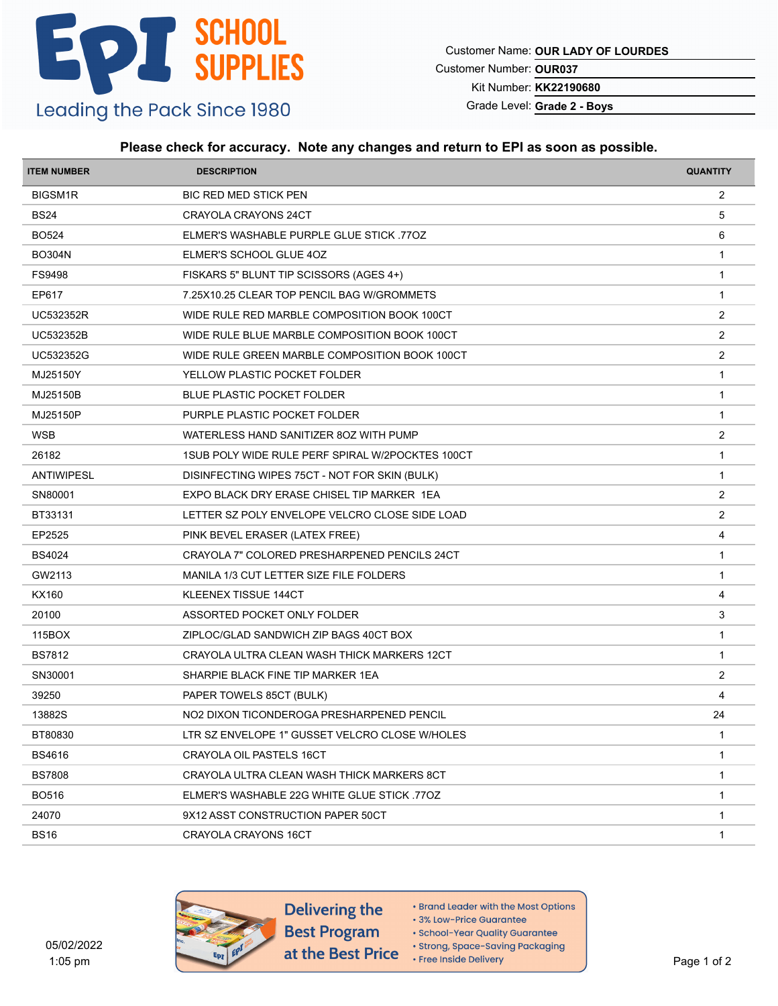Customer Name: **OUR LADY OF LOURDES**

Customer Number: **OUR037**

Kit Number: **KK22190680**

Grade Level: **Grade 2 - Boys**

#### **Please check for accuracy. Note any changes and return to EPI as soon as possible.**

| <b>ITEM NUMBER</b> | <b>DESCRIPTION</b>                               | <b>QUANTITY</b>         |
|--------------------|--------------------------------------------------|-------------------------|
| BIGSM1R            | <b>BIC RED MED STICK PEN</b>                     | $\overline{2}$          |
| <b>BS24</b>        | CRAYOLA CRAYONS 24CT                             | 5                       |
| <b>BO524</b>       | ELMER'S WASHABLE PURPLE GLUE STICK 770Z          | 6                       |
| <b>BO304N</b>      | ELMER'S SCHOOL GLUE 4OZ                          | $\mathbf{1}$            |
| <b>FS9498</b>      | FISKARS 5" BLUNT TIP SCISSORS (AGES 4+)          | $\mathbf{1}$            |
| EP617              | 7.25X10.25 CLEAR TOP PENCIL BAG W/GROMMETS       | $\mathbf{1}$            |
| <b>UC532352R</b>   | WIDE RULE RED MARBLE COMPOSITION BOOK 100CT      | $\overline{2}$          |
| UC532352B          | WIDE RULE BLUE MARBLE COMPOSITION BOOK 100CT     | $\overline{2}$          |
| UC532352G          | WIDE RULE GREEN MARBLE COMPOSITION BOOK 100CT    | $\overline{\mathbf{c}}$ |
| MJ25150Y           | YELLOW PLASTIC POCKET FOLDER                     | $\overline{1}$          |
| MJ25150B           | <b>BLUE PLASTIC POCKET FOLDER</b>                | $\mathbf{1}$            |
| MJ25150P           | PURPLE PLASTIC POCKET FOLDER                     | $\mathbf{1}$            |
| <b>WSB</b>         | WATERLESS HAND SANITIZER 80Z WITH PUMP           | $\overline{2}$          |
| 26182              | 1SUB POLY WIDE RULE PERF SPIRAL W/2POCKTES 100CT | $\mathbf{1}$            |
| <b>ANTIWIPESL</b>  | DISINFECTING WIPES 75CT - NOT FOR SKIN (BULK)    | $\mathbf{1}$            |
| SN80001            | EXPO BLACK DRY ERASE CHISEL TIP MARKER 1EA       | $\overline{2}$          |
| BT33131            | LETTER SZ POLY ENVELOPE VELCRO CLOSE SIDE LOAD   | $\overline{2}$          |
| EP2525             | PINK BEVEL ERASER (LATEX FREE)                   | 4                       |
| <b>BS4024</b>      | CRAYOLA 7" COLORED PRESHARPENED PENCILS 24CT     | $\mathbf{1}$            |
| GW2113             | MANILA 1/3 CUT LETTER SIZE FILE FOLDERS          | $\mathbf{1}$            |
| KX160              | KLEENEX TISSUE 144CT                             | $\overline{4}$          |
| 20100              | ASSORTED POCKET ONLY FOLDER                      | 3                       |
| 115BOX             | ZIPLOC/GLAD SANDWICH ZIP BAGS 40CT BOX           | $\mathbf{1}$            |
| <b>BS7812</b>      | CRAYOLA ULTRA CLEAN WASH THICK MARKERS 12CT      | $\mathbf{1}$            |
| SN30001            | SHARPIE BLACK FINE TIP MARKER 1EA                | $\overline{2}$          |
| 39250              | PAPER TOWELS 85CT (BULK)                         | 4                       |
| 13882S             | NO2 DIXON TICONDEROGA PRESHARPENED PENCIL        | 24                      |
| BT80830            | LTR SZ ENVELOPE 1" GUSSET VELCRO CLOSE W/HOLES   | $\mathbf{1}$            |
| <b>BS4616</b>      | CRAYOLA OIL PASTELS 16CT                         | -1                      |
| <b>BS7808</b>      | CRAYOLA ULTRA CLEAN WASH THICK MARKERS 8CT       | $\mathbf{1}$            |
| <b>BO516</b>       | ELMER'S WASHABLE 22G WHITE GLUE STICK 770Z       | $\mathbf{1}$            |
| 24070              | 9X12 ASST CONSTRUCTION PAPER 50CT                | $\mathbf{1}$            |
| BS16               | CRAYOLA CRAYONS 16CT                             | 1                       |
|                    |                                                  |                         |



- Brand Leader with the Most Options
- 3% Low-Price Guarantee
- · School-Year Quality Guarantee
- · Strong, Space-Saving Packaging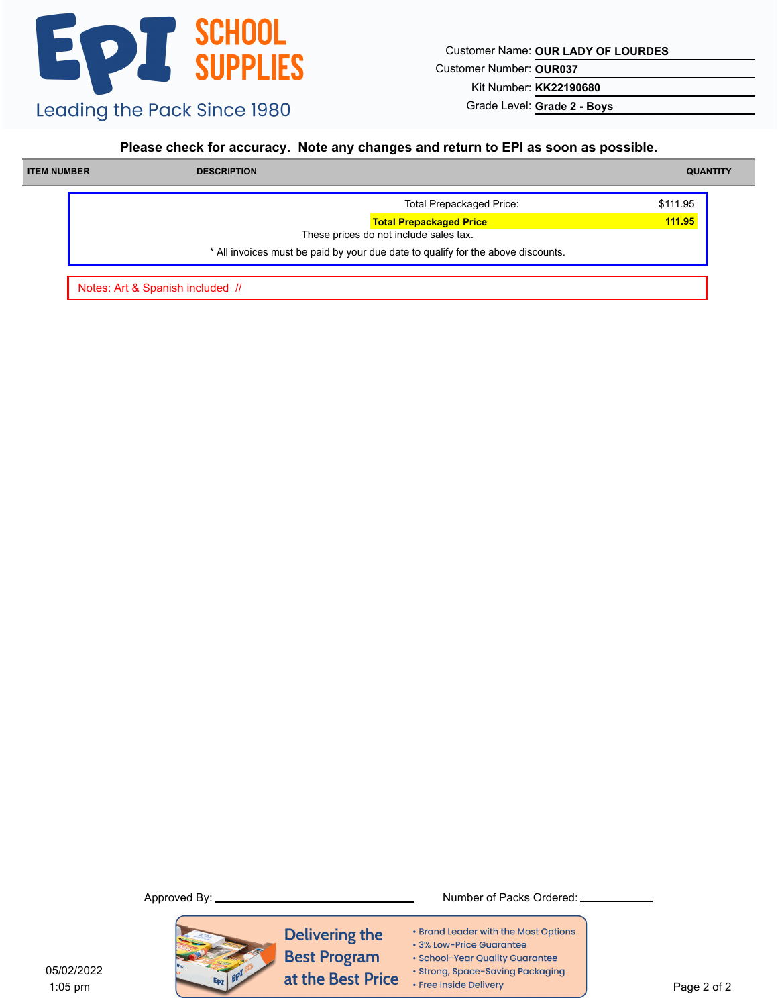Customer Name: **OUR LADY OF LOURDES**

Customer Number: **OUR037**

Kit Number: **KK22190680**

Grade Level: **Grade 2 - Boys**

#### **Please check for accuracy. Note any changes and return to EPI as soon as possible.**

| <b>ITEM NUMBER</b> | <b>DESCRIPTION</b> |                                                                                  | <b>QUANTITY</b> |
|--------------------|--------------------|----------------------------------------------------------------------------------|-----------------|
|                    |                    | <b>Total Prepackaged Price:</b>                                                  | \$111.95        |
|                    |                    | <b>Total Prepackaged Price</b><br>These prices do not include sales tax.         | 111.95          |
|                    |                    | * All invoices must be paid by your due date to qualify for the above discounts. |                 |

Notes: Art & Spanish included //



**Delivering the Best Program** at the Best Price

- Brand Leader with the Most Options
- 3% Low-Price Guarantee
- · School-Year Quality Guarantee
- · Strong, Space-Saving Packaging
- Free Inside Delivery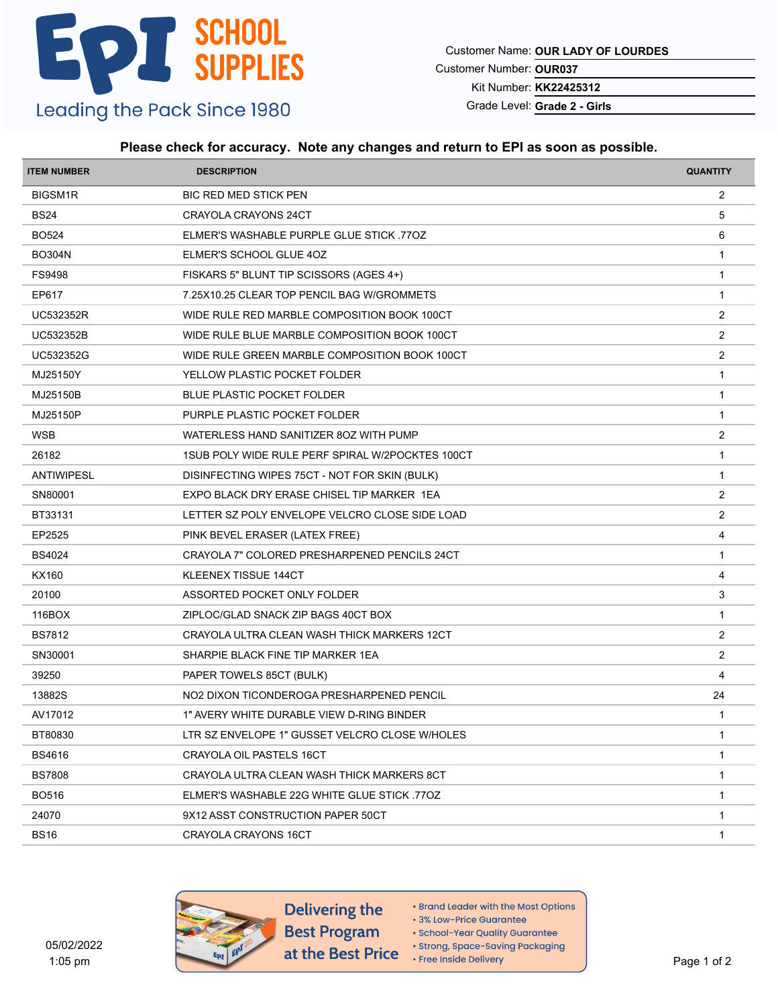Customer Name: **OUR LADY OF LOURDES**

Customer Number: **OUR037**

Kit Number: **KK22425312**

Grade Level: **Grade 2 - Girls**

#### **Please check for accuracy. Note any changes and return to EPI as soon as possible.**

| <b>ITEM NUMBER</b> | <b>DESCRIPTION</b>                               | <b>QUANTITY</b> |
|--------------------|--------------------------------------------------|-----------------|
| BIGSM1R            | <b>BIC RED MED STICK PEN</b>                     | $\overline{2}$  |
| <b>BS24</b>        | CRAYOLA CRAYONS 24CT                             | 5               |
| <b>BO524</b>       | ELMER'S WASHABLE PURPLE GLUE STICK 770Z          | 6               |
| <b>BO304N</b>      | ELMER'S SCHOOL GLUE 4OZ                          | $\mathbf{1}$    |
| <b>FS9498</b>      | FISKARS 5" BLUNT TIP SCISSORS (AGES 4+)          | $\overline{1}$  |
| EP617              | 7.25X10.25 CLEAR TOP PENCIL BAG W/GROMMETS       | $\mathbf{1}$    |
| UC532352R          | WIDE RULE RED MARBLE COMPOSITION BOOK 100CT      | $\overline{2}$  |
| UC532352B          | WIDE RULE BLUE MARBLE COMPOSITION BOOK 100CT     | $\overline{2}$  |
| UC532352G          | WIDE RULE GREEN MARBLE COMPOSITION BOOK 100CT    | $\overline{2}$  |
| MJ25150Y           | YELLOW PLASTIC POCKET FOLDER                     | $\mathbf{1}$    |
| MJ25150B           | <b>BLUE PLASTIC POCKET FOLDER</b>                | $\mathbf{1}$    |
| MJ25150P           | PURPLE PLASTIC POCKET FOLDER                     | $\mathbf{1}$    |
| <b>WSB</b>         | WATERLESS HAND SANITIZER 80Z WITH PUMP           | $\overline{2}$  |
| 26182              | 1SUB POLY WIDE RULE PERF SPIRAL W/2POCKTES 100CT | $\mathbf{1}$    |
| <b>ANTIWIPESL</b>  | DISINFECTING WIPES 75CT - NOT FOR SKIN (BULK)    | $\mathbf{1}$    |
| SN80001            | EXPO BLACK DRY ERASE CHISEL TIP MARKER 1EA       | $\overline{2}$  |
| BT33131            | LETTER SZ POLY ENVELOPE VELCRO CLOSE SIDE LOAD   | $\overline{2}$  |
| EP2525             | PINK BEVEL ERASER (LATEX FREE)                   | 4               |
| <b>BS4024</b>      | CRAYOLA 7" COLORED PRESHARPENED PENCILS 24CT     | $\mathbf{1}$    |
| KX160              | KLEENEX TISSUE 144CT                             | 4               |
| 20100              | ASSORTED POCKET ONLY FOLDER                      | 3               |
| 116BOX             | ZIPLOC/GLAD SNACK ZIP BAGS 40CT BOX              | $\mathbf{1}$    |
| <b>BS7812</b>      | CRAYOLA ULTRA CLEAN WASH THICK MARKERS 12CT      | $\overline{2}$  |
| SN30001            | SHARPIE BLACK FINE TIP MARKER 1EA                | $\overline{2}$  |
| 39250              | PAPER TOWELS 85CT (BULK)                         | 4               |
| 13882S             | NO2 DIXON TICONDEROGA PRESHARPENED PENCIL        | 24              |
| AV17012            | 1" AVERY WHITE DURABLE VIEW D-RING BINDER        | $\mathbf 1$     |
| BT80830            | LTR SZ ENVELOPE 1" GUSSET VELCRO CLOSE W/HOLES   | $\mathbf{1}$    |
| BS4616             | CRAYOLA OIL PASTELS 16CT                         | -1              |
| <b>BS7808</b>      | CRAYOLA ULTRA CLEAN WASH THICK MARKERS 8CT       | $\mathbf{1}$    |
| <b>BO516</b>       | ELMER'S WASHABLE 22G WHITE GLUE STICK 770Z       | $\mathbf{1}$    |
| 24070              | 9X12 ASST CONSTRUCTION PAPER 50CT                | $\mathbf 1$     |
| <b>BS16</b>        | CRAYOLA CRAYONS 16CT                             | 1               |
|                    |                                                  |                 |



- Brand Leader with the Most Options
- 3% Low-Price Guarantee
- · School-Year Quality Guarantee
- · Strong, Space-Saving Packaging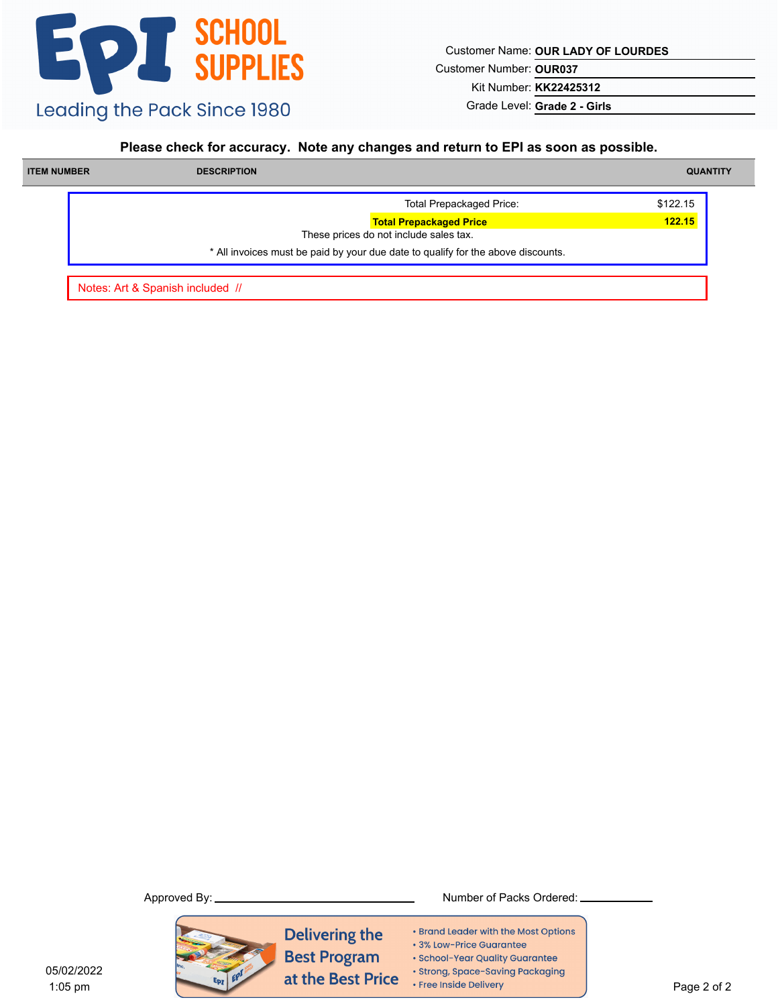Customer Name: **OUR LADY OF LOURDES**

Customer Number: **OUR037**

Kit Number: **KK22425312**

Grade Level: **Grade 2 - Girls**

#### **Please check for accuracy. Note any changes and return to EPI as soon as possible.**

| <b>ITEM NUMBER</b> | <b>DESCRIPTION</b> |                                                                                  | <b>QUANTITY</b> |
|--------------------|--------------------|----------------------------------------------------------------------------------|-----------------|
|                    |                    | <b>Total Prepackaged Price:</b>                                                  | \$122.15        |
|                    |                    | <b>Total Prepackaged Price</b><br>These prices do not include sales tax.         | 122.15          |
|                    |                    | * All invoices must be paid by your due date to qualify for the above discounts. |                 |

Notes: Art & Spanish included //



**Delivering the Best Program** at the Best Price

Approved By: Number of Packs Ordered:

- Brand Leader with the Most Options
- 3% Low-Price Guarantee
- · School-Year Quality Guarantee
- · Strong, Space-Saving Packaging
- Free Inside Delivery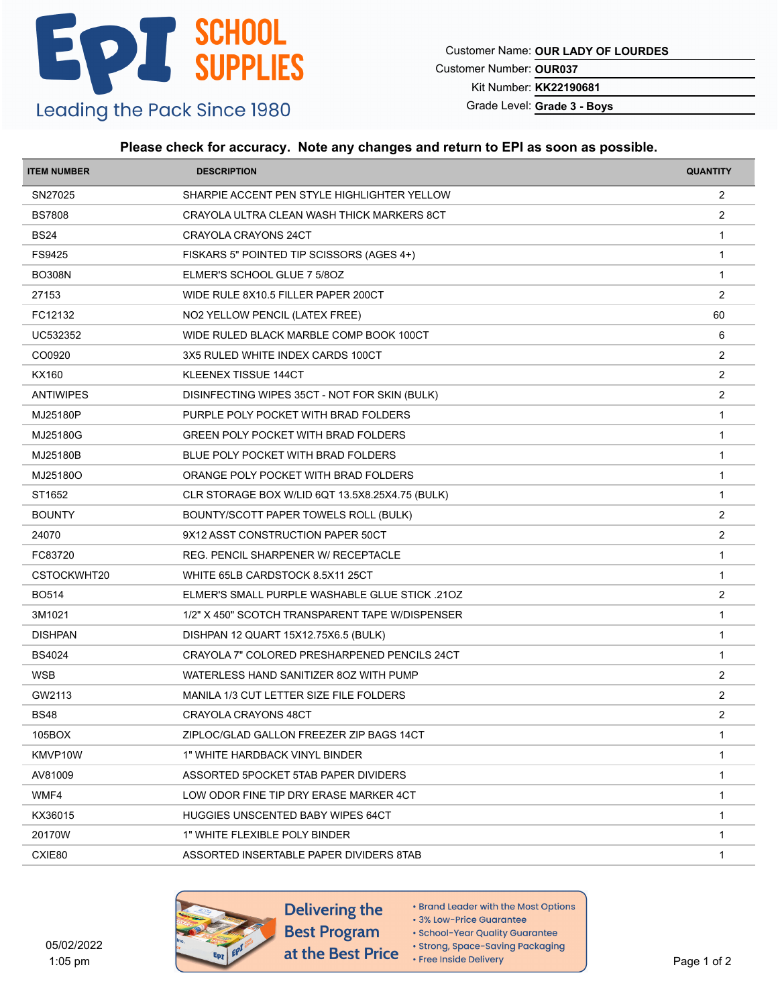Customer Name: **OUR LADY OF LOURDES**

Customer Number: **OUR037**

Kit Number: **KK22190681**

Grade Level: **Grade 3 - Boys**

### **Please check for accuracy. Note any changes and return to EPI as soon as possible.**

| <b>ITEM NUMBER</b> | <b>DESCRIPTION</b>                                    | <b>QUANTITY</b> |
|--------------------|-------------------------------------------------------|-----------------|
| SN27025            | SHARPIE ACCENT PEN STYLE HIGHLIGHTER YELLOW           | $\overline{2}$  |
| <b>BS7808</b>      | CRAYOLA ULTRA CLEAN WASH THICK MARKERS 8CT            | 2               |
| <b>BS24</b>        | CRAYOLA CRAYONS 24CT                                  | $\mathbf{1}$    |
| FS9425             | FISKARS 5" POINTED TIP SCISSORS (AGES 4+)             | $\mathbf{1}$    |
| <b>BO308N</b>      | ELMER'S SCHOOL GLUE 7 5/8OZ                           | $\overline{1}$  |
| 27153              | WIDE RULE 8X10.5 FILLER PAPER 200CT                   | 2               |
| FC12132            | NO2 YELLOW PENCIL (LATEX FREE)                        | 60              |
| UC532352           | WIDE RULED BLACK MARBLE COMP BOOK 100CT               | 6               |
| CO0920             | 3X5 RULED WHITE INDEX CARDS 100CT                     | 2               |
| <b>KX160</b>       | KLEENEX TISSUE 144CT                                  | 2               |
| <b>ANTIWIPES</b>   | DISINFECTING WIPES 35CT - NOT FOR SKIN (BULK)         | $\overline{2}$  |
| MJ25180P           | PURPLE POLY POCKET WITH BRAD FOLDERS                  | $\overline{1}$  |
| MJ25180G           | GREEN POLY POCKET WITH BRAD FOLDERS                   | $\mathbf{1}$    |
| MJ25180B           | BLUE POLY POCKET WITH BRAD FOLDERS                    | $\mathbf{1}$    |
| MJ25180O           | ORANGE POLY POCKET WITH BRAD FOLDERS                  | $\mathbf{1}$    |
| ST1652             | CLR STORAGE BOX W/LID 6QT 13.5X8.25X4.75 (BULK)       | $\mathbf{1}$    |
| <b>BOUNTY</b>      | BOUNTY/SCOTT PAPER TOWELS ROLL (BULK)                 | 2               |
| 24070              | 9X12 ASST CONSTRUCTION PAPER 50CT                     | 2               |
| FC83720            | REG. PENCIL SHARPENER W/ RECEPTACLE                   | $\mathbf{1}$    |
| CSTOCKWHT20        | WHITE 65LB CARDSTOCK 8.5X11 25CT                      | $\overline{1}$  |
| <b>BO514</b>       | <b>ELMER'S SMALL PURPLE WASHABLE GLUE STICK .210Z</b> | 2               |
| 3M1021             | 1/2" X 450" SCOTCH TRANSPARENT TAPE W/DISPENSER       | $\mathbf{1}$    |
| <b>DISHPAN</b>     | DISHPAN 12 QUART 15X12.75X6.5 (BULK)                  | $\mathbf{1}$    |
| <b>BS4024</b>      | CRAYOLA 7" COLORED PRESHARPENED PENCILS 24CT          | $\overline{1}$  |
| <b>WSB</b>         | WATERLESS HAND SANITIZER 80Z WITH PUMP                | 2               |
| GW2113             | MANILA 1/3 CUT LETTER SIZE FILE FOLDERS               | 2               |
| <b>BS48</b>        | CRAYOLA CRAYONS 48CT                                  | $\overline{2}$  |
| 105BOX             | ZIPLOC/GLAD GALLON FREEZER ZIP BAGS 14CT              | $\mathbf{1}$    |
| KMVP10W            | 1" WHITE HARDBACK VINYL BINDER                        | -1              |
| AV81009            | ASSORTED 5POCKET 5TAB PAPER DIVIDERS                  | $\mathbf{1}$    |
| WMF4               | LOW ODOR FINE TIP DRY ERASE MARKER 4CT                | $\mathbf{1}$    |
| KX36015            | HUGGIES UNSCENTED BABY WIPES 64CT                     | $\mathbf{1}$    |
| 20170W             | 1" WHITE FLEXIBLE POLY BINDER                         | $\mathbf{1}$    |
| CXIE80             | ASSORTED INSERTABLE PAPER DIVIDERS 8TAB               | $\mathbf{1}$    |
|                    |                                                       |                 |



- Brand Leader with the Most Options
- 3% Low-Price Guarantee · School-Year Quality Guarantee
- · Strong, Space-Saving Packaging
- Free Inside Delivery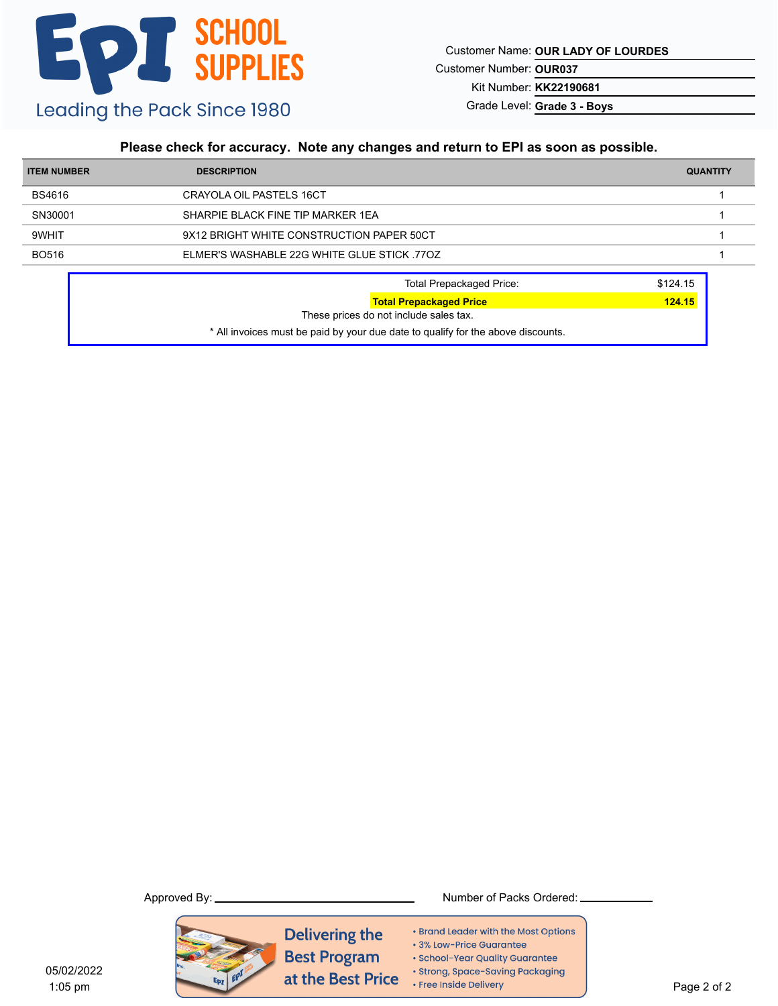Customer Name: **OUR LADY OF LOURDES**

Customer Number: **OUR037**

Kit Number: **KK22190681**

Grade Level: **Grade 3 - Boys**

### **Please check for accuracy. Note any changes and return to EPI as soon as possible.**

| <b>ITEM NUMBER</b> | <b>DESCRIPTION</b>                         | <b>QUANTITY</b> |
|--------------------|--------------------------------------------|-----------------|
| BS4616             | CRAYOLA OIL PASTELS 16CT                   |                 |
| SN30001            | SHARPIE BLACK FINE TIP MARKER 1EA          |                 |
| 9WHIT              | 9X12 BRIGHT WHITE CONSTRUCTION PAPER 50CT  |                 |
| <b>BO516</b>       | ELMER'S WASHABLE 22G WHITE GLUE STICK 770Z |                 |
|                    | Total Prepackaged Price:                   | \$124.15        |

| <b>Total Prepackaged Price:</b>                                                  | \$124.15 |
|----------------------------------------------------------------------------------|----------|
| <b>Total Prepackaged Price</b>                                                   | 124.15   |
| These prices do not include sales tax.                                           |          |
| * All invoices must be paid by your due date to qualify for the above discounts. |          |



Approved By: Number of Packs Ordered:

- Brand Leader with the Most Options
- · 3% Low-Price Guarantee
- · School-Year Quality Guarantee
- · Strong, Space-Saving Packaging
- Free Inside Delivery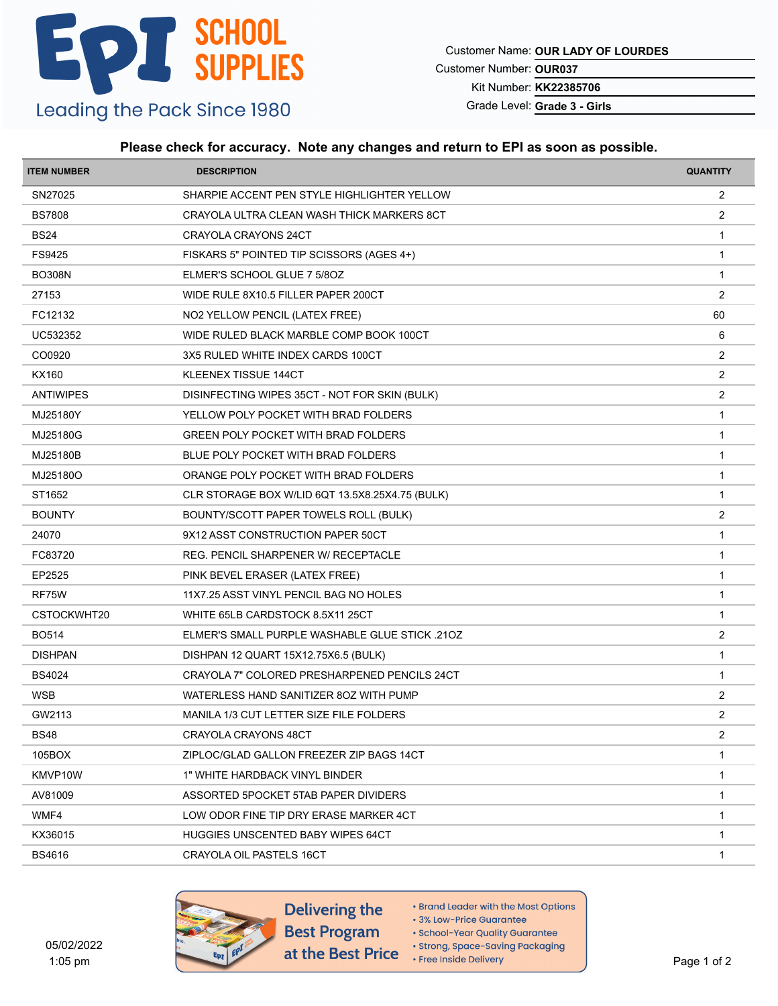Customer Name: **OUR LADY OF LOURDES**

Customer Number: **OUR037**

Kit Number: **KK22385706**

Grade Level: **Grade 3 - Girls**

#### **Please check for accuracy. Note any changes and return to EPI as soon as possible.**

| <b>ITEM NUMBER</b> | <b>DESCRIPTION</b>                              | <b>QUANTITY</b> |
|--------------------|-------------------------------------------------|-----------------|
| SN27025            | SHARPIE ACCENT PEN STYLE HIGHLIGHTER YELLOW     | $\overline{2}$  |
| <b>BS7808</b>      | CRAYOLA ULTRA CLEAN WASH THICK MARKERS 8CT      | 2               |
| <b>BS24</b>        | CRAYOLA CRAYONS 24CT                            | $\mathbf{1}$    |
| FS9425             | FISKARS 5" POINTED TIP SCISSORS (AGES 4+)       | $\mathbf{1}$    |
| <b>BO308N</b>      | ELMER'S SCHOOL GLUE 7 5/8OZ                     | $\overline{1}$  |
| 27153              | WIDE RULE 8X10.5 FILLER PAPER 200CT             | 2               |
| FC12132            | NO2 YELLOW PENCIL (LATEX FREE)                  | 60              |
| UC532352           | WIDE RULED BLACK MARBLE COMP BOOK 100CT         | 6               |
| CO0920             | 3X5 RULED WHITE INDEX CARDS 100CT               | 2               |
| KX160              | KLEENEX TISSUE 144CT                            | 2               |
| <b>ANTIWIPES</b>   | DISINFECTING WIPES 35CT - NOT FOR SKIN (BULK)   | $\overline{2}$  |
| MJ25180Y           | YELLOW POLY POCKET WITH BRAD FOLDERS            | $\overline{1}$  |
| MJ25180G           | GREEN POLY POCKET WITH BRAD FOLDERS             | $\mathbf{1}$    |
| MJ25180B           | BLUE POLY POCKET WITH BRAD FOLDERS              | $\mathbf{1}$    |
| MJ25180O           | ORANGE POLY POCKET WITH BRAD FOLDERS            | $\mathbf{1}$    |
| ST1652             | CLR STORAGE BOX W/LID 6QT 13.5X8.25X4.75 (BULK) | $\mathbf{1}$    |
| <b>BOUNTY</b>      | BOUNTY/SCOTT PAPER TOWELS ROLL (BULK)           | 2               |
| 24070              | 9X12 ASST CONSTRUCTION PAPER 50CT               | $\mathbf{1}$    |
| FC83720            | REG. PENCIL SHARPENER W/ RECEPTACLE             | $\mathbf{1}$    |
| EP2525             | PINK BEVEL ERASER (LATEX FREE)                  | $\overline{1}$  |
| RF75W              | 11X7.25 ASST VINYL PENCIL BAG NO HOLES          | $\mathbf{1}$    |
| CSTOCKWHT20        | WHITE 65LB CARDSTOCK 8.5X11 25CT                | $\mathbf{1}$    |
| <b>BO514</b>       | ELMER'S SMALL PURPLE WASHABLE GLUE STICK .21OZ  | 2               |
| <b>DISHPAN</b>     | DISHPAN 12 QUART 15X12.75X6.5 (BULK)            | $\overline{1}$  |
| <b>BS4024</b>      | CRAYOLA 7" COLORED PRESHARPENED PENCILS 24CT    | $\mathbf{1}$    |
| <b>WSB</b>         | WATERLESS HAND SANITIZER 80Z WITH PUMP          | 2               |
| GW2113             | MANILA 1/3 CUT LETTER SIZE FILE FOLDERS         | $\overline{2}$  |
| <b>BS48</b>        | CRAYOLA CRAYONS 48CT                            | 2               |
| 105BOX             | ZIPLOC/GLAD GALLON FREEZER ZIP BAGS 14CT        | -1              |
| KMVP10W            | 1" WHITE HARDBACK VINYL BINDER                  | $\mathbf{1}$    |
| AV81009            | ASSORTED 5POCKET 5TAB PAPER DIVIDERS            | $\mathbf{1}$    |
| WMF4               | LOW ODOR FINE TIP DRY ERASE MARKER 4CT          | -1              |
| KX36015            | HUGGIES UNSCENTED BABY WIPES 64CT               | $\mathbf 1$     |
| <b>BS4616</b>      | CRAYOLA OIL PASTELS 16CT                        | $\mathbf{1}$    |
|                    |                                                 |                 |



- Brand Leader with the Most Options
- 3% Low-Price Guarantee
- · School-Year Quality Guarantee
- · Strong, Space-Saving Packaging • Free Inside Delivery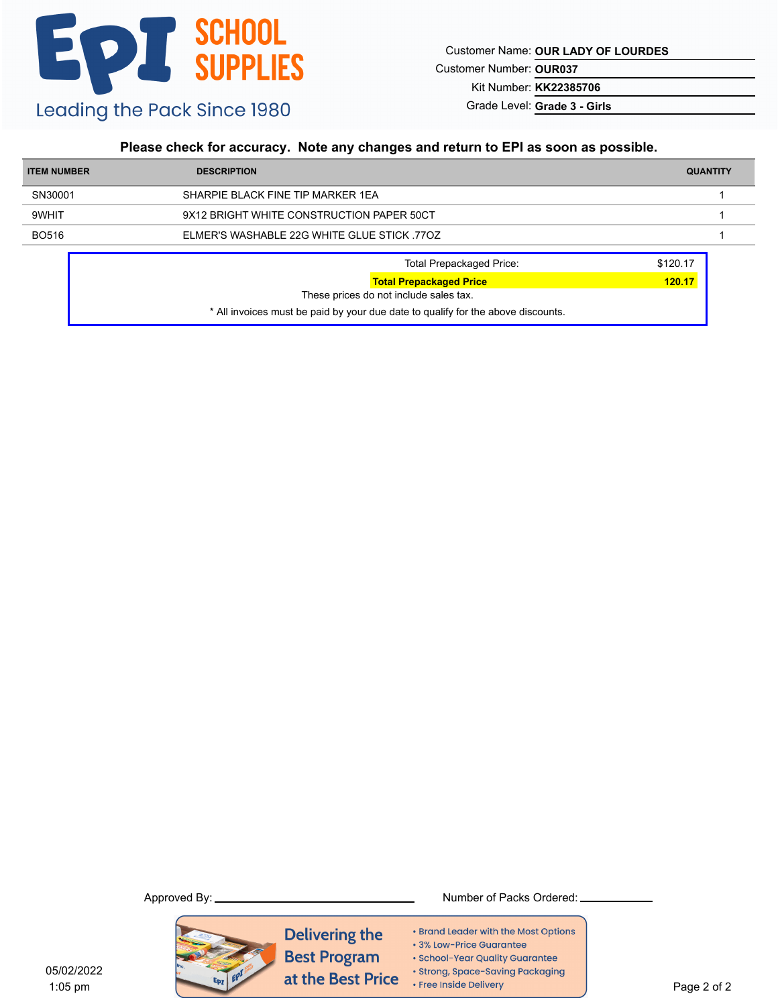Customer Name: **OUR LADY OF LOURDES**

Customer Number: **OUR037**

Kit Number: **KK22385706**

Grade Level: **Grade 3 - Girls**

### **Please check for accuracy. Note any changes and return to EPI as soon as possible.**

| <b>ITEM NUMBER</b> | <b>DESCRIPTION</b>                                                       | <b>QUANTITY</b> |
|--------------------|--------------------------------------------------------------------------|-----------------|
| SN30001            | SHARPIE BLACK FINE TIP MARKER 1EA                                        |                 |
| 9WHIT              | 9X12 BRIGHT WHITE CONSTRUCTION PAPER 50CT                                |                 |
| <b>BO516</b>       | ELMER'S WASHABLE 22G WHITE GLUE STICK 770Z                               |                 |
|                    | <b>Total Prepackaged Price:</b>                                          | \$120.17        |
|                    | <b>Total Prepackaged Price</b><br>These prices do not include sales tax. | 120.17          |

\* All invoices must be paid by your due date to qualify for the above discounts.



- Brand Leader with the Most Options
- 3% Low-Price Guarantee
- · School-Year Quality Guarantee
- · Strong, Space-Saving Packaging
- Free Inside Delivery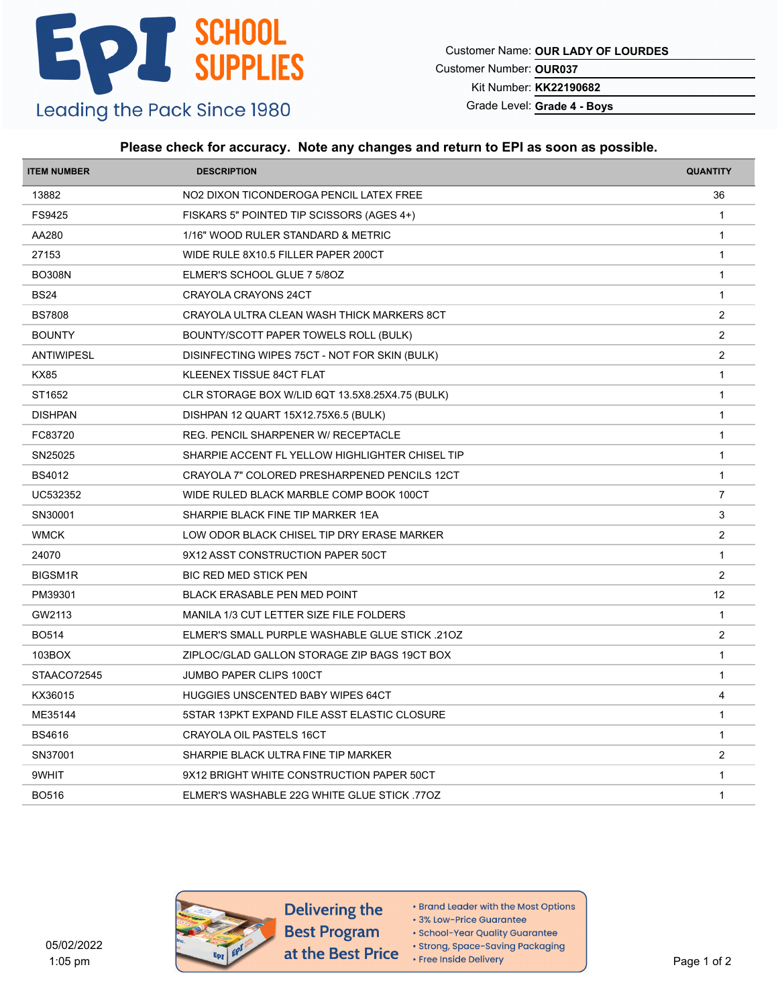Customer Name: **OUR LADY OF LOURDES**

Customer Number: **OUR037**

Kit Number: **KK22190682**

Grade Level: **Grade 4 - Boys**

#### **Please check for accuracy. Note any changes and return to EPI as soon as possible.**

| <b>ITEM NUMBER</b> | <b>DESCRIPTION</b>                                    | <b>QUANTITY</b> |
|--------------------|-------------------------------------------------------|-----------------|
| 13882              | NO2 DIXON TICONDEROGA PENCIL LATEX FREE               | 36              |
| FS9425             | FISKARS 5" POINTED TIP SCISSORS (AGES 4+)             | $\overline{1}$  |
| AA280              | 1/16" WOOD RULER STANDARD & METRIC                    | $\overline{1}$  |
| 27153              | WIDE RULE 8X10.5 FILLER PAPER 200CT                   | $\mathbf{1}$    |
| <b>BO308N</b>      | ELMER'S SCHOOL GLUE 7 5/80Z                           | $\overline{1}$  |
| <b>BS24</b>        | CRAYOLA CRAYONS 24CT                                  | $\mathbf{1}$    |
| <b>BS7808</b>      | CRAYOLA ULTRA CLEAN WASH THICK MARKERS 8CT            | $\overline{2}$  |
| <b>BOUNTY</b>      | BOUNTY/SCOTT PAPER TOWELS ROLL (BULK)                 | $\overline{c}$  |
| <b>ANTIWIPESL</b>  | DISINFECTING WIPES 75CT - NOT FOR SKIN (BULK)         | 2               |
| <b>KX85</b>        | KLEENEX TISSUE 84CT FLAT                              | $\mathbf{1}$    |
| ST1652             | CLR STORAGE BOX W/LID 6QT 13.5X8.25X4.75 (BULK)       | $\mathbf{1}$    |
| <b>DISHPAN</b>     | DISHPAN 12 QUART 15X12.75X6.5 (BULK)                  | $\overline{1}$  |
| FC83720            | REG. PENCIL SHARPENER W/ RECEPTACLE                   | $\overline{1}$  |
| SN25025            | SHARPIE ACCENT FL YELLOW HIGHLIGHTER CHISEL TIP       | $\mathbf{1}$    |
| <b>BS4012</b>      | CRAYOLA 7" COLORED PRESHARPENED PENCILS 12CT          | $\mathbf{1}$    |
| UC532352           | WIDE RULED BLACK MARBLE COMP BOOK 100CT               | $\overline{7}$  |
| SN30001            | SHARPIE BLACK FINE TIP MARKER 1EA                     | 3               |
| <b>WMCK</b>        | LOW ODOR BLACK CHISEL TIP DRY ERASE MARKER            | 2               |
| 24070              | 9X12 ASST CONSTRUCTION PAPER 50CT                     | $\mathbf{1}$    |
| <b>BIGSM1R</b>     | BIC RED MED STICK PEN                                 | $\overline{2}$  |
| PM39301            | BLACK ERASABLE PEN MED POINT                          | 12              |
| GW2113             | MANILA 1/3 CUT LETTER SIZE FILE FOLDERS               | $\mathbf{1}$    |
| <b>BO514</b>       | <b>ELMER'S SMALL PURPLE WASHABLE GLUE STICK .210Z</b> | 2               |
| 103BOX             | ZIPLOC/GLAD GALLON STORAGE ZIP BAGS 19CT BOX          | $\mathbf{1}$    |
| STAACO72545        | JUMBO PAPER CLIPS 100CT                               | $\mathbf{1}$    |
| KX36015            | HUGGIES UNSCENTED BABY WIPES 64CT                     | 4               |
| ME35144            | 5STAR 13PKT EXPAND FILE ASST ELASTIC CLOSURE          | $\overline{1}$  |
| <b>BS4616</b>      | CRAYOLA OIL PASTELS 16CT                              | $\mathbf{1}$    |
| SN37001            | SHARPIE BLACK ULTRA FINE TIP MARKER                   | 2               |
| 9WHIT              | 9X12 BRIGHT WHITE CONSTRUCTION PAPER 50CT             | $\mathbf{1}$    |
| <b>BO516</b>       | ELMER'S WASHABLE 22G WHITE GLUE STICK 770Z            | $\mathbf{1}$    |
|                    |                                                       |                 |



Delivering the **Best Program** at the Best Price

- Brand Leader with the Most Options
- 3% Low-Price Guarantee

· School-Year Quality Guarantee

· Strong, Space-Saving Packaging

• Free Inside Delivery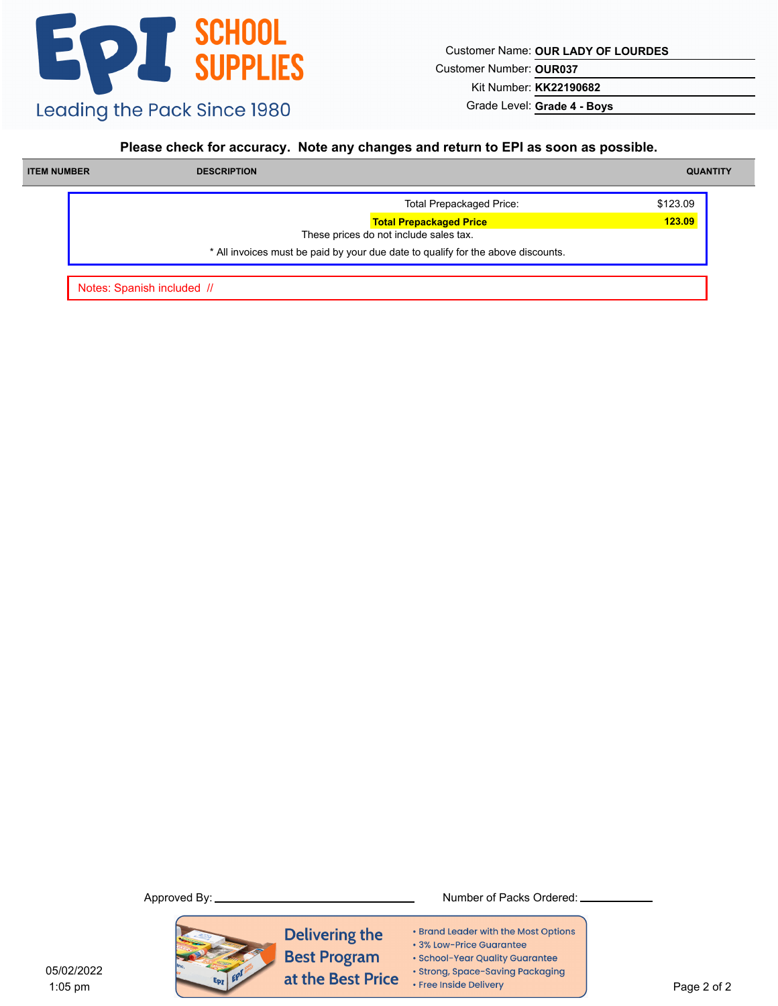Customer Name: **OUR LADY OF LOURDES**

Customer Number: **OUR037**

Kit Number: **KK22190682**

Grade Level: **Grade 4 - Boys**

### **Please check for accuracy. Note any changes and return to EPI as soon as possible.**

| <b>ITEM NUMBER</b> | <b>DESCRIPTION</b> |                                                                                  | <b>QUANTITY</b> |
|--------------------|--------------------|----------------------------------------------------------------------------------|-----------------|
|                    |                    | <b>Total Prepackaged Price:</b>                                                  | \$123.09        |
|                    |                    | <b>Total Prepackaged Price</b><br>These prices do not include sales tax.         | 123.09          |
|                    |                    | * All invoices must be paid by your due date to qualify for the above discounts. |                 |

Notes: Spanish included //



**Delivering the Best Program** at the Best Price

Approved By: Number of Packs Ordered:

- Brand Leader with the Most Options
- 3% Low-Price Guarantee
- · School-Year Quality Guarantee
- · Strong, Space-Saving Packaging
- Free Inside Delivery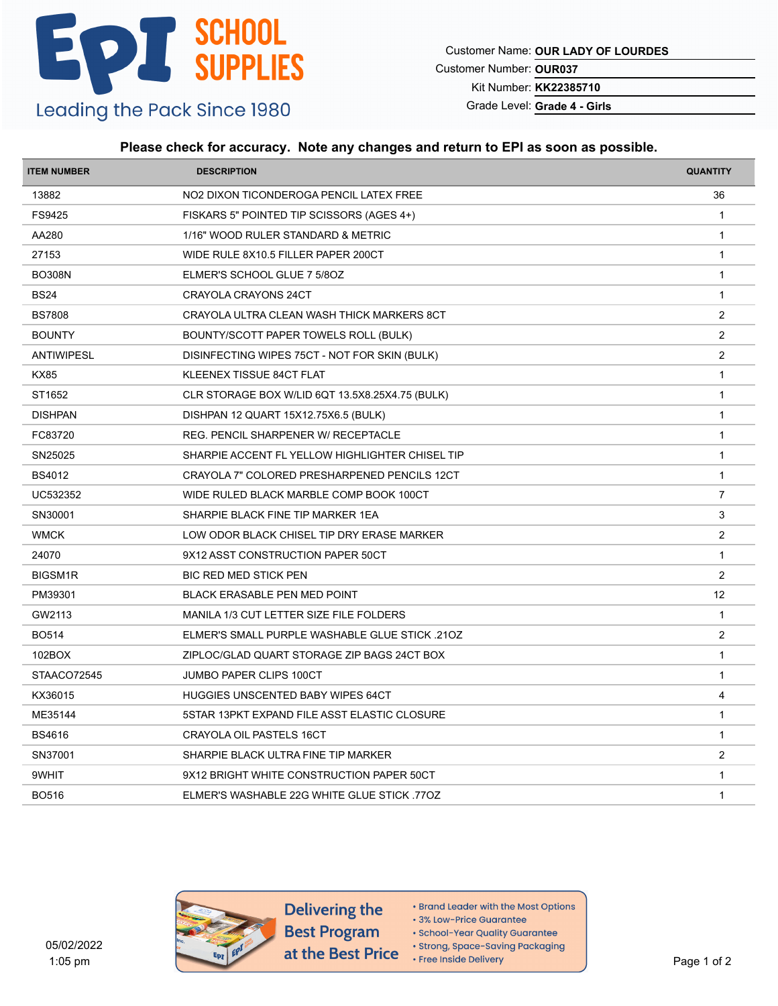Customer Name: **OUR LADY OF LOURDES**

Customer Number: **OUR037**

Kit Number: **KK22385710**

Grade Level: **Grade 4 - Girls**

#### **Please check for accuracy. Note any changes and return to EPI as soon as possible.**

| <b>ITEM NUMBER</b> | <b>DESCRIPTION</b>                                    | <b>QUANTITY</b> |
|--------------------|-------------------------------------------------------|-----------------|
| 13882              | NO2 DIXON TICONDEROGA PENCIL LATEX FREE               | 36              |
| FS9425             | FISKARS 5" POINTED TIP SCISSORS (AGES 4+)             | $\overline{1}$  |
| AA280              | 1/16" WOOD RULER STANDARD & METRIC                    | $\overline{1}$  |
| 27153              | WIDE RULE 8X10.5 FILLER PAPER 200CT                   | $\mathbf{1}$    |
| <b>BO308N</b>      | ELMER'S SCHOOL GLUE 7 5/80Z                           | $\overline{1}$  |
| <b>BS24</b>        | CRAYOLA CRAYONS 24CT                                  | $\mathbf{1}$    |
| <b>BS7808</b>      | CRAYOLA ULTRA CLEAN WASH THICK MARKERS 8CT            | $\overline{2}$  |
| <b>BOUNTY</b>      | BOUNTY/SCOTT PAPER TOWELS ROLL (BULK)                 | $\overline{c}$  |
| <b>ANTIWIPESL</b>  | DISINFECTING WIPES 75CT - NOT FOR SKIN (BULK)         | 2               |
| <b>KX85</b>        | KLEENEX TISSUE 84CT FLAT                              | $\mathbf{1}$    |
| ST1652             | CLR STORAGE BOX W/LID 6QT 13.5X8.25X4.75 (BULK)       | $\mathbf{1}$    |
| <b>DISHPAN</b>     | DISHPAN 12 QUART 15X12.75X6.5 (BULK)                  | $\overline{1}$  |
| FC83720            | REG. PENCIL SHARPENER W/ RECEPTACLE                   | $\mathbf{1}$    |
| SN25025            | SHARPIE ACCENT FL YELLOW HIGHLIGHTER CHISEL TIP       | $\mathbf{1}$    |
| <b>BS4012</b>      | CRAYOLA 7" COLORED PRESHARPENED PENCILS 12CT          | $\mathbf{1}$    |
| UC532352           | WIDE RULED BLACK MARBLE COMP BOOK 100CT               | $\overline{7}$  |
| SN30001            | SHARPIE BLACK FINE TIP MARKER 1EA                     | 3               |
| <b>WMCK</b>        | LOW ODOR BLACK CHISEL TIP DRY ERASE MARKER            | 2               |
| 24070              | 9X12 ASST CONSTRUCTION PAPER 50CT                     | $\mathbf{1}$    |
| <b>BIGSM1R</b>     | BIC RED MED STICK PEN                                 | $\overline{2}$  |
| PM39301            | BLACK ERASABLE PEN MED POINT                          | 12              |
| GW2113             | MANILA 1/3 CUT LETTER SIZE FILE FOLDERS               | $\mathbf{1}$    |
| <b>BO514</b>       | <b>ELMER'S SMALL PURPLE WASHABLE GLUE STICK .210Z</b> | 2               |
| 102BOX             | ZIPLOC/GLAD QUART STORAGE ZIP BAGS 24CT BOX           | $\mathbf{1}$    |
| STAACO72545        | JUMBO PAPER CLIPS 100CT                               | $\mathbf{1}$    |
| KX36015            | HUGGIES UNSCENTED BABY WIPES 64CT                     | 4               |
| ME35144            | 5STAR 13PKT EXPAND FILE ASST ELASTIC CLOSURE          | $\overline{1}$  |
| <b>BS4616</b>      | CRAYOLA OIL PASTELS 16CT                              | $\mathbf{1}$    |
| SN37001            | SHARPIE BLACK ULTRA FINE TIP MARKER                   | 2               |
| 9WHIT              | 9X12 BRIGHT WHITE CONSTRUCTION PAPER 50CT             | $\mathbf{1}$    |
| <b>BO516</b>       | ELMER'S WASHABLE 22G WHITE GLUE STICK 770Z            | $\mathbf{1}$    |
|                    |                                                       |                 |



- Brand Leader with the Most Options
- 3% Low-Price Guarantee
- · School-Year Quality Guarantee
- · Strong, Space-Saving Packaging
- Free Inside Delivery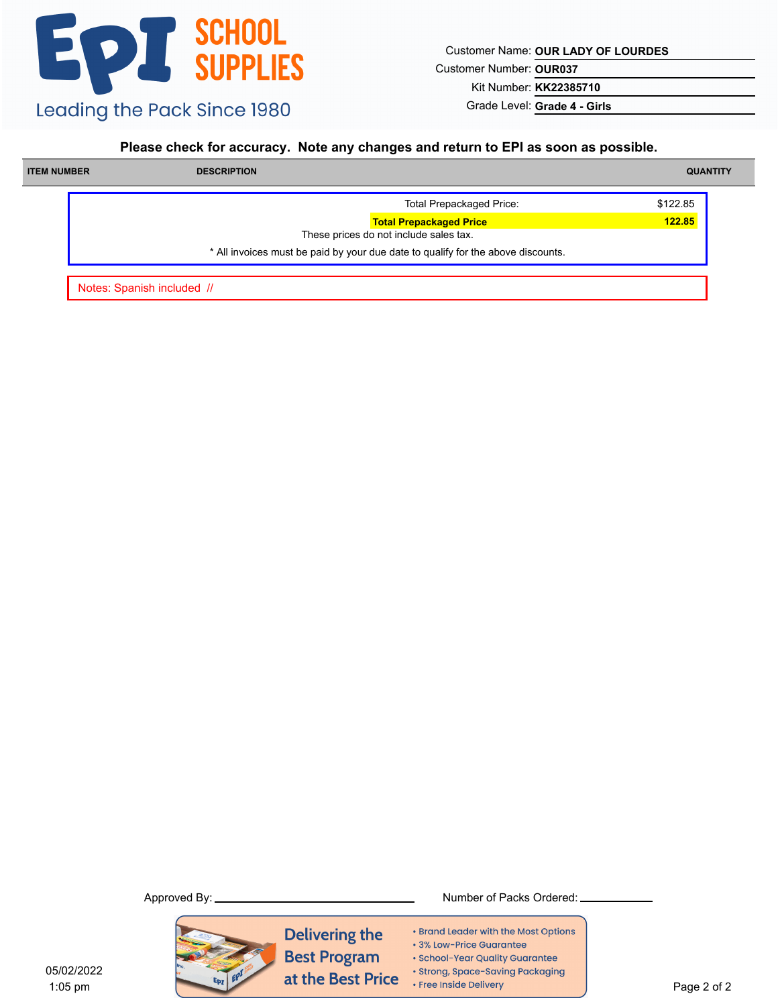Customer Name: **OUR LADY OF LOURDES**

Customer Number: **OUR037**

Kit Number: **KK22385710**

Grade Level: **Grade 4 - Girls**

#### **Please check for accuracy. Note any changes and return to EPI as soon as possible.**

| <b>ITEM NUMBER</b> | <b>DESCRIPTION</b> |                                                                                  | <b>QUANTITY</b> |
|--------------------|--------------------|----------------------------------------------------------------------------------|-----------------|
|                    |                    | <b>Total Prepackaged Price:</b>                                                  | \$122.85        |
|                    |                    | <b>Total Prepackaged Price</b><br>These prices do not include sales tax.         | 122.85          |
|                    |                    | * All invoices must be paid by your due date to qualify for the above discounts. |                 |

Notes: Spanish included //



**Delivering the Best Program** at the Best Price

- Brand Leader with the Most Options
- 3% Low-Price Guarantee
- · School-Year Quality Guarantee
- · Strong, Space-Saving Packaging
- Free Inside Delivery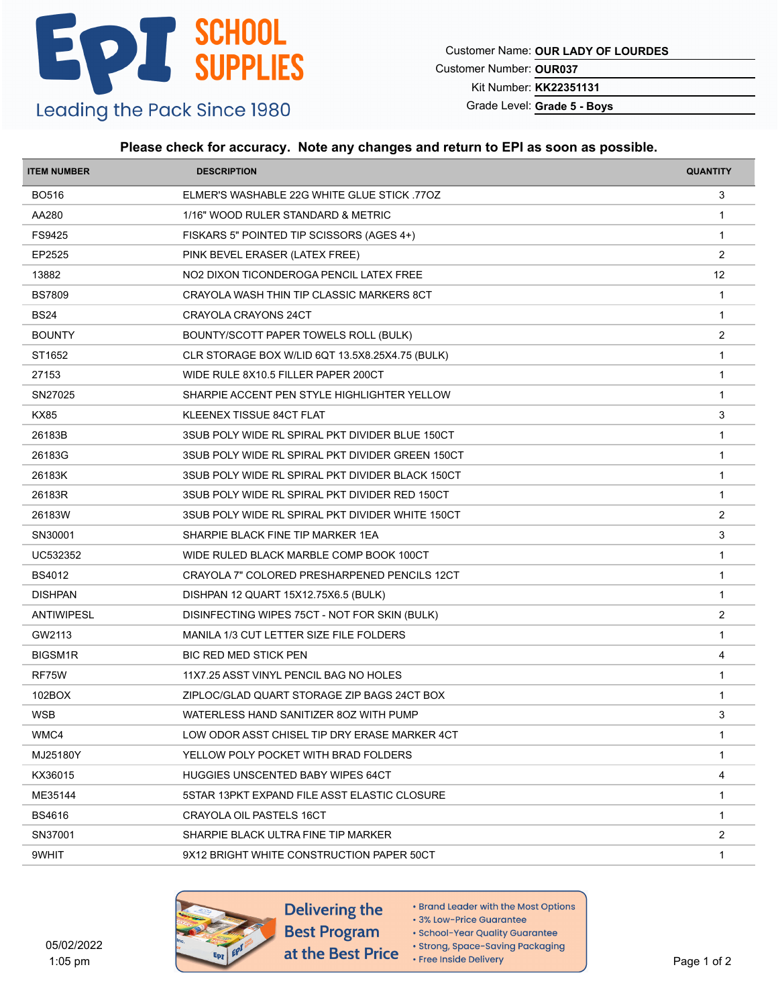Customer Name: **OUR LADY OF LOURDES**

Customer Number: **OUR037**

Kit Number: **KK22351131**

Grade Level: **Grade 5 - Boys**

#### **Please check for accuracy. Note any changes and return to EPI as soon as possible.**

| <b>ITEM NUMBER</b> | <b>DESCRIPTION</b>                               | <b>QUANTITY</b> |
|--------------------|--------------------------------------------------|-----------------|
| BO516              | ELMER'S WASHABLE 22G WHITE GLUE STICK 770Z       | 3               |
| AA280              | 1/16" WOOD RULER STANDARD & METRIC               | $\overline{1}$  |
| FS9425             | FISKARS 5" POINTED TIP SCISSORS (AGES 4+)        | $\mathbf{1}$    |
| EP2525             | PINK BEVEL ERASER (LATEX FREE)                   | 2               |
| 13882              | NO2 DIXON TICONDEROGA PENCIL LATEX FREE          | 12              |
| <b>BS7809</b>      | CRAYOLA WASH THIN TIP CLASSIC MARKERS 8CT        | $\mathbf{1}$    |
| <b>BS24</b>        | CRAYOLA CRAYONS 24CT                             | $\mathbf{1}$    |
| <b>BOUNTY</b>      | BOUNTY/SCOTT PAPER TOWELS ROLL (BULK)            | 2               |
| ST1652             | CLR STORAGE BOX W/LID 6QT 13.5X8.25X4.75 (BULK)  | $\mathbf{1}$    |
| 27153              | WIDE RULE 8X10.5 FILLER PAPER 200CT              | $\mathbf{1}$    |
| SN27025            | SHARPIE ACCENT PEN STYLE HIGHLIGHTER YELLOW      | $\overline{1}$  |
| <b>KX85</b>        | KLEENEX TISSUE 84CT FLAT                         | 3               |
| 26183B             | 3SUB POLY WIDE RL SPIRAL PKT DIVIDER BLUE 150CT  | $\overline{1}$  |
| 26183G             | 3SUB POLY WIDE RL SPIRAL PKT DIVIDER GREEN 150CT | $\mathbf{1}$    |
| 26183K             | 3SUB POLY WIDE RL SPIRAL PKT DIVIDER BLACK 150CT | $\mathbf{1}$    |
| 26183R             | 3SUB POLY WIDE RL SPIRAL PKT DIVIDER RED 150CT   | $\mathbf{1}$    |
| 26183W             | 3SUB POLY WIDE RL SPIRAL PKT DIVIDER WHITE 150CT | 2               |
| SN30001            | SHARPIE BLACK FINE TIP MARKER 1EA                | 3               |
| UC532352           | WIDE RULED BLACK MARBLE COMP BOOK 100CT          | $\mathbf{1}$    |
| <b>BS4012</b>      | CRAYOLA 7" COLORED PRESHARPENED PENCILS 12CT     | $\mathbf{1}$    |
| <b>DISHPAN</b>     | DISHPAN 12 QUART 15X12.75X6.5 (BULK)             | $\overline{1}$  |
| <b>ANTIWIPESL</b>  | DISINFECTING WIPES 75CT - NOT FOR SKIN (BULK)    | $\overline{2}$  |
| GW2113             | MANILA 1/3 CUT LETTER SIZE FILE FOLDERS          | $\overline{1}$  |
| BIGSM1R            | BIC RED MED STICK PEN                            | 4               |
| RF75W              | 11X7.25 ASST VINYL PENCIL BAG NO HOLES           | $\mathbf{1}$    |
| 102BOX             | ZIPLOC/GLAD QUART STORAGE ZIP BAGS 24CT BOX      | $\mathbf 1$     |
| WSB                | WATERLESS HAND SANITIZER 80Z WITH PUMP           | 3               |
| WMC4               | LOW ODOR ASST CHISEL TIP DRY ERASE MARKER 4CT    | $\mathbf{1}$    |
| MJ25180Y           | YELLOW POLY POCKET WITH BRAD FOLDERS             | -1              |
| KX36015            | <b>HUGGIES UNSCENTED BABY WIPES 64CT</b>         | 4               |
| ME35144            | 5STAR 13PKT EXPAND FILE ASST ELASTIC CLOSURE     | $\mathbf{1}$    |
| BS4616             | CRAYOLA OIL PASTELS 16CT                         | -1              |
| SN37001            | SHARPIE BLACK ULTRA FINE TIP MARKER              | $\overline{2}$  |
| 9WHIT              | 9X12 BRIGHT WHITE CONSTRUCTION PAPER 50CT        | 1               |
|                    |                                                  |                 |



- Brand Leader with the Most Options
- 3% Low-Price Guarantee
- · School-Year Quality Guarantee · Strong, Space-Saving Packaging
- Free Inside Delivery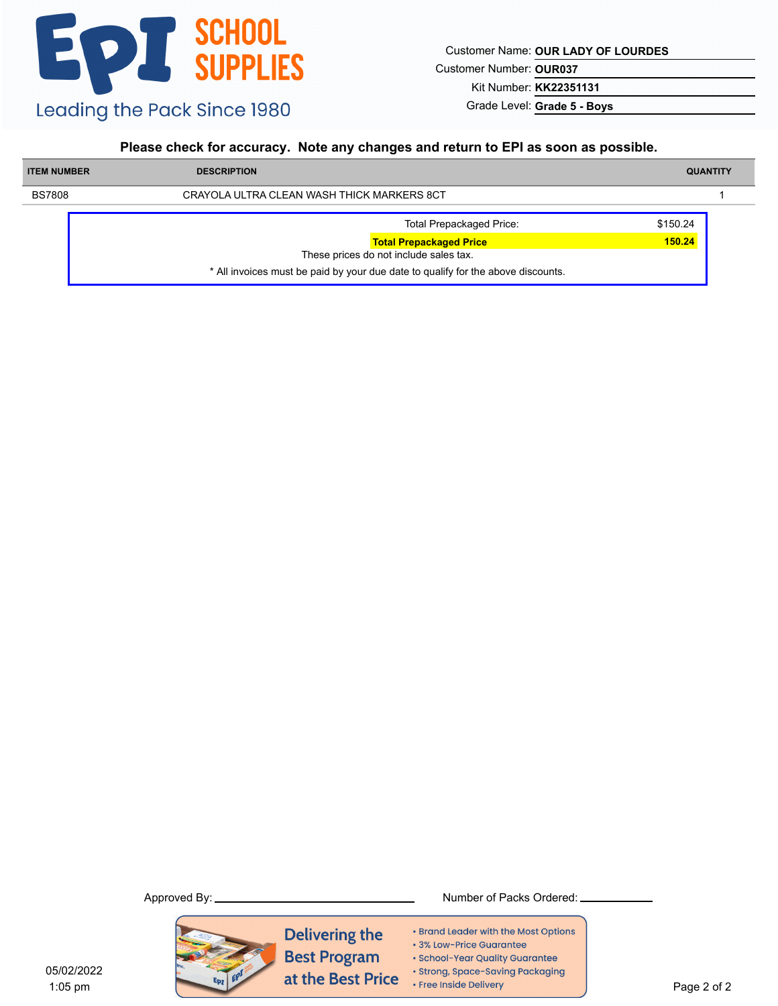Customer Name: **OUR LADY OF LOURDES**

Customer Number: **OUR037**

Kit Number: **KK22351131**

Grade Level: **Grade 5 - Boys**

### **Please check for accuracy. Note any changes and return to EPI as soon as possible.**

| <b>ITEM NUMBER</b> | <b>DESCRIPTION</b>                                                               | <b>QUANTITY</b> |
|--------------------|----------------------------------------------------------------------------------|-----------------|
| <b>BS7808</b>      | CRAYOLA ULTRA CLEAN WASH THICK MARKERS 8CT                                       |                 |
|                    | <b>Total Prepackaged Price:</b>                                                  | \$150.24        |
|                    | <b>Total Prepackaged Price</b>                                                   | 150.24          |
|                    | These prices do not include sales tax.                                           |                 |
|                    | * All invoices must be paid by your due date to qualify for the above discounts. |                 |



- Brand Leader with the Most Options
- · 3% Low-Price Guarantee
- · School-Year Quality Guarantee
- · Strong, Space-Saving Packaging
- Free Inside Delivery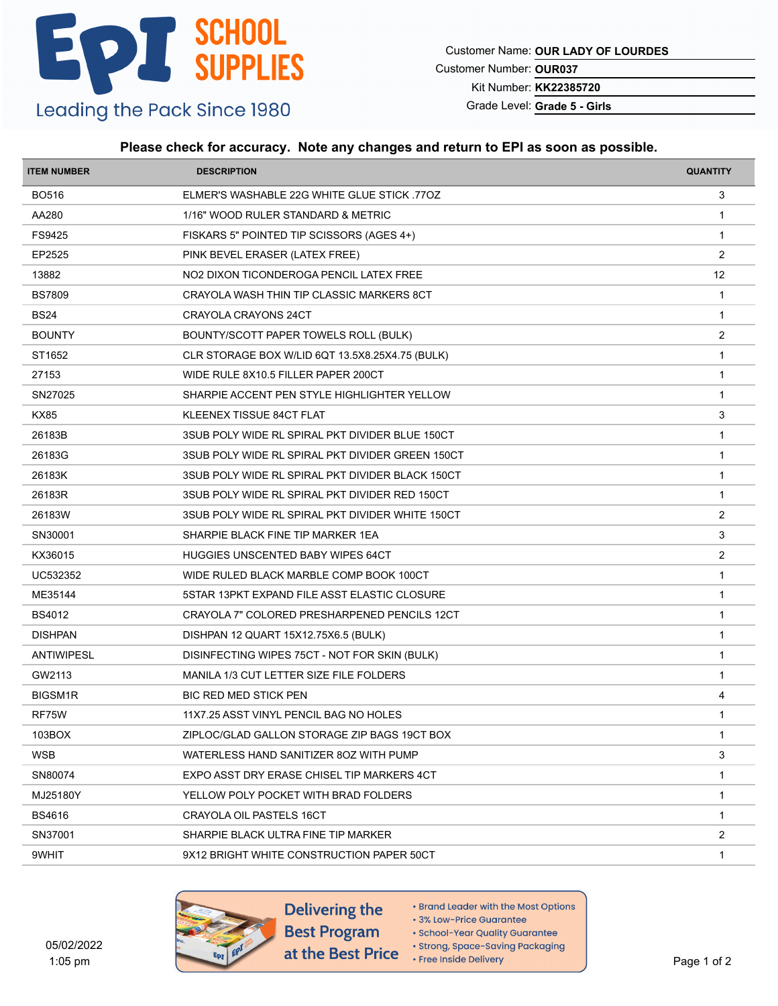Customer Name: **OUR LADY OF LOURDES**

Customer Number: **OUR037**

Kit Number: **KK22385720**

Grade Level: **Grade 5 - Girls**

### **Please check for accuracy. Note any changes and return to EPI as soon as possible.**

| <b>ITEM NUMBER</b> | <b>DESCRIPTION</b>                               | <b>QUANTITY</b> |
|--------------------|--------------------------------------------------|-----------------|
| <b>BO516</b>       | ELMER'S WASHABLE 22G WHITE GLUE STICK 770Z       | 3               |
| AA280              | 1/16" WOOD RULER STANDARD & METRIC               | -1              |
| FS9425             | FISKARS 5" POINTED TIP SCISSORS (AGES 4+)        | $\mathbf{1}$    |
| EP2525             | PINK BEVEL ERASER (LATEX FREE)                   | 2               |
| 13882              | NO2 DIXON TICONDEROGA PENCIL LATEX FREE          | 12              |
| <b>BS7809</b>      | CRAYOLA WASH THIN TIP CLASSIC MARKERS 8CT        | $\mathbf{1}$    |
| <b>BS24</b>        | CRAYOLA CRAYONS 24CT                             | $\mathbf{1}$    |
| <b>BOUNTY</b>      | BOUNTY/SCOTT PAPER TOWELS ROLL (BULK)            | 2               |
| ST1652             | CLR STORAGE BOX W/LID 6QT 13.5X8.25X4.75 (BULK)  | $\mathbf{1}$    |
| 27153              | WIDE RULE 8X10.5 FILLER PAPER 200CT              | $\mathbf{1}$    |
| SN27025            | SHARPIE ACCENT PEN STYLE HIGHLIGHTER YELLOW      | $\mathbf{1}$    |
| <b>KX85</b>        | KLEENEX TISSUE 84CT FLAT                         | 3               |
| 26183B             | 3SUB POLY WIDE RL SPIRAL PKT DIVIDER BLUE 150CT  | $\overline{1}$  |
| 26183G             | 3SUB POLY WIDE RL SPIRAL PKT DIVIDER GREEN 150CT | $\mathbf{1}$    |
| 26183K             | 3SUB POLY WIDE RL SPIRAL PKT DIVIDER BLACK 150CT | $\mathbf{1}$    |
| 26183R             | 3SUB POLY WIDE RL SPIRAL PKT DIVIDER RED 150CT   | $\mathbf{1}$    |
| 26183W             | 3SUB POLY WIDE RL SPIRAL PKT DIVIDER WHITE 150CT | $\overline{2}$  |
| SN30001            | SHARPIE BLACK FINE TIP MARKER 1EA                | 3               |
| KX36015            | <b>HUGGIES UNSCENTED BABY WIPES 64CT</b>         | $\overline{2}$  |
| UC532352           | WIDE RULED BLACK MARBLE COMP BOOK 100CT          | $\mathbf{1}$    |
| ME35144            | 5STAR 13PKT EXPAND FILE ASST ELASTIC CLOSURE     | $\mathbf 1$     |
| <b>BS4012</b>      | CRAYOLA 7" COLORED PRESHARPENED PENCILS 12CT     | $\mathbf{1}$    |
| <b>DISHPAN</b>     | DISHPAN 12 QUART 15X12.75X6.5 (BULK)             | $\mathbf{1}$    |
| ANTIWIPESL         | DISINFECTING WIPES 75CT - NOT FOR SKIN (BULK)    | $\mathbf{1}$    |
| GW2113             | MANILA 1/3 CUT LETTER SIZE FILE FOLDERS          | $\overline{1}$  |
| <b>BIGSM1R</b>     | <b>BIC RED MED STICK PEN</b>                     | 4               |
| RF75W              | 11X7.25 ASST VINYL PENCIL BAG NO HOLES           | $\mathbf{1}$    |
| 103BOX             | ZIPLOC/GLAD GALLON STORAGE ZIP BAGS 19CT BOX     | $\mathbf{1}$    |
| <b>WSB</b>         | WATERLESS HAND SANITIZER 80Z WITH PUMP           | 3               |
| SN80074            | EXPO ASST DRY ERASE CHISEL TIP MARKERS 4CT       | $\mathbf{1}$    |
| MJ25180Y           | YELLOW POLY POCKET WITH BRAD FOLDERS             | $\mathbf{1}$    |
| <b>BS4616</b>      | CRAYOLA OIL PASTELS 16CT                         | 1               |
| SN37001            | SHARPIE BLACK ULTRA FINE TIP MARKER              | $\overline{c}$  |
| 9WHIT              | 9X12 BRIGHT WHITE CONSTRUCTION PAPER 50CT        | 1               |
|                    |                                                  |                 |



Delivering the

- Brand Leader with the Most Options
- 3% Low-Price Guarantee · School-Year Quality Guarantee
- · Strong, Space-Saving Packaging
- Free Inside Delivery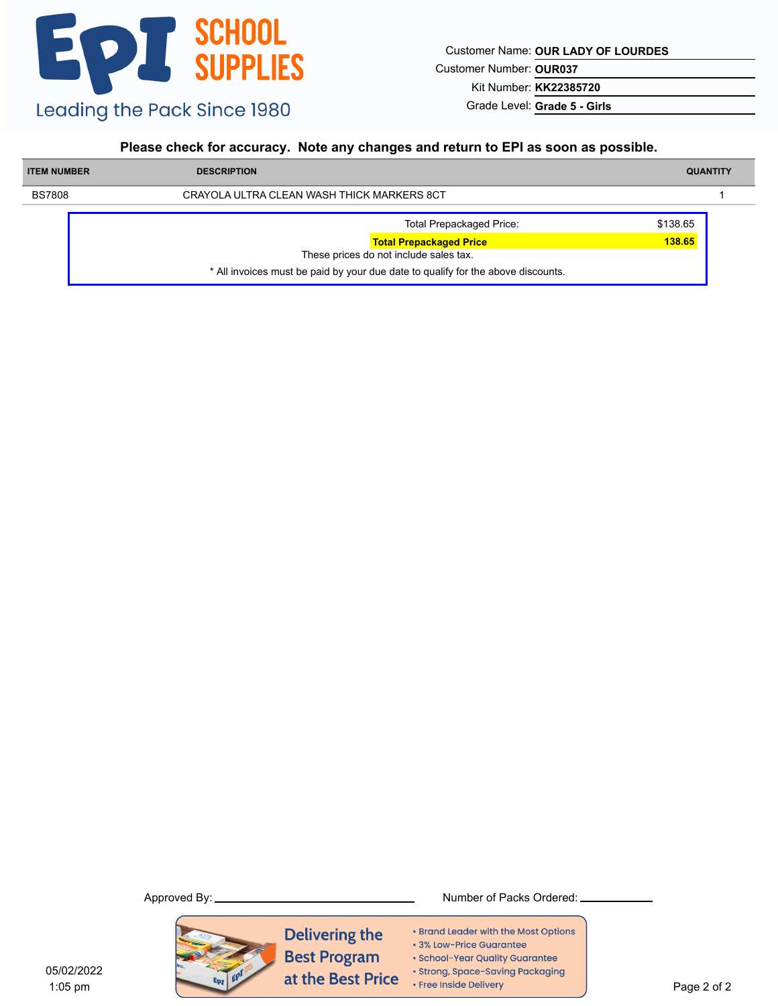Customer Name: **OUR LADY OF LOURDES**

Customer Number: **OUR037**

Kit Number: **KK22385720**

Grade Level: **Grade 5 - Girls**

#### **Please check for accuracy. Note any changes and return to EPI as soon as possible.**

| <b>ITEM NUMBER</b> | <b>DESCRIPTION</b>                                                               | <b>QUANTITY</b> |
|--------------------|----------------------------------------------------------------------------------|-----------------|
| <b>BS7808</b>      | CRAYOLA ULTRA CLEAN WASH THICK MARKERS 8CT                                       |                 |
|                    | <b>Total Prepackaged Price:</b>                                                  | \$138.65        |
|                    | <b>Total Prepackaged Price</b>                                                   | 138.65          |
|                    | These prices do not include sales tax.                                           |                 |
|                    | * All invoices must be paid by your due date to qualify for the above discounts. |                 |



Approved By: Number of Packs Ordered:

- Brand Leader with the Most Options
- · 3% Low-Price Guarantee
- · School-Year Quality Guarantee
- · Strong, Space-Saving Packaging
- Free Inside Delivery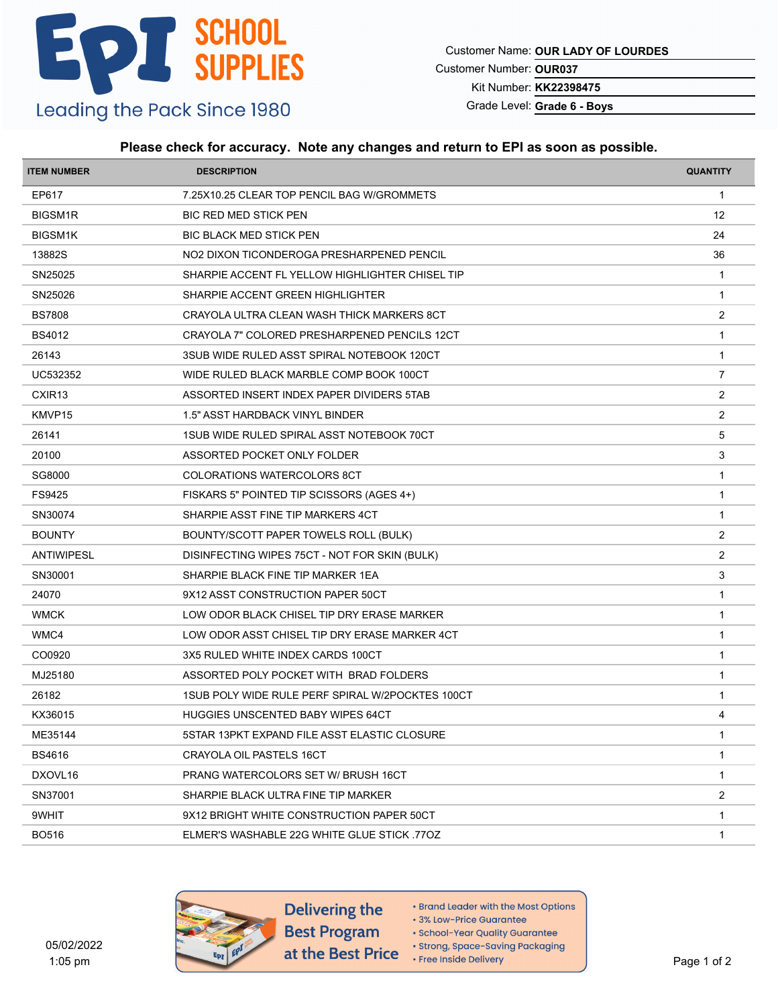Customer Name: **OUR LADY OF LOURDES**

Customer Number: **OUR037**

Kit Number: **KK22398475**

Grade Level: **Grade 6 - Boys**

### **Please check for accuracy. Note any changes and return to EPI as soon as possible.**

| <b>ITEM NUMBER</b> | <b>DESCRIPTION</b>                               | <b>QUANTITY</b> |
|--------------------|--------------------------------------------------|-----------------|
| EP617              | 7.25X10.25 CLEAR TOP PENCIL BAG W/GROMMETS       | $\mathbf{1}$    |
| <b>BIGSM1R</b>     | <b>BIC RED MED STICK PEN</b>                     | 12              |
| <b>BIGSM1K</b>     | <b>BIC BLACK MED STICK PEN</b>                   | 24              |
| 13882S             | NO2 DIXON TICONDEROGA PRESHARPENED PENCIL        | 36              |
| SN25025            | SHARPIE ACCENT FL YELLOW HIGHLIGHTER CHISEL TIP  | $\mathbf{1}$    |
| SN25026            | SHARPIE ACCENT GREEN HIGHLIGHTER                 | $\mathbf{1}$    |
| <b>BS7808</b>      | CRAYOLA ULTRA CLEAN WASH THICK MARKERS 8CT       | 2               |
| <b>BS4012</b>      | CRAYOLA 7" COLORED PRESHARPENED PENCILS 12CT     | -1              |
| 26143              | 3SUB WIDE RULED ASST SPIRAL NOTEBOOK 120CT       | $\mathbf{1}$    |
| UC532352           | WIDE RULED BLACK MARBLE COMP BOOK 100CT          | $\overline{7}$  |
| CXIR <sub>13</sub> | ASSORTED INSERT INDEX PAPER DIVIDERS 5TAB        | $\overline{2}$  |
| KMVP15             | 1.5" ASST HARDBACK VINYL BINDER                  | 2               |
| 26141              | 1SUB WIDE RULED SPIRAL ASST NOTEBOOK 70CT        | 5               |
| 20100              | ASSORTED POCKET ONLY FOLDER                      | 3               |
| SG8000             | <b>COLORATIONS WATERCOLORS 8CT</b>               | $\mathbf{1}$    |
| FS9425             | FISKARS 5" POINTED TIP SCISSORS (AGES 4+)        | $\mathbf 1$     |
| SN30074            | SHARPIE ASST FINE TIP MARKERS 4CT                | $\mathbf{1}$    |
| <b>BOUNTY</b>      | BOUNTY/SCOTT PAPER TOWELS ROLL (BULK)            | 2               |
| ANTIWIPESL         | DISINFECTING WIPES 75CT - NOT FOR SKIN (BULK)    | 2               |
| SN30001            | SHARPIE BLACK FINE TIP MARKER 1EA                | 3               |
| 24070              | 9X12 ASST CONSTRUCTION PAPER 50CT                | $\overline{1}$  |
| <b>WMCK</b>        | LOW ODOR BLACK CHISEL TIP DRY ERASE MARKER       | $\mathbf{1}$    |
| WMC4               | LOW ODOR ASST CHISEL TIP DRY ERASE MARKER 4CT    | $\mathbf{1}$    |
| CO0920             | 3X5 RULED WHITE INDEX CARDS 100CT                | $\mathbf 1$     |
| MJ25180            | ASSORTED POLY POCKET WITH BRAD FOLDERS           | $\mathbf{1}$    |
| 26182              | 1SUB POLY WIDE RULE PERF SPIRAL W/2POCKTES 100CT | $\mathbf{1}$    |
| KX36015            | <b>HUGGIES UNSCENTED BABY WIPES 64CT</b>         | 4               |
| ME35144            | 5STAR 13PKT EXPAND FILE ASST ELASTIC CLOSURE     | $\mathbf{1}$    |
| <b>BS4616</b>      | <b>CRAYOLA OIL PASTELS 16CT</b>                  | -1              |
| DXOVL16            | PRANG WATERCOLORS SET W/ BRUSH 16CT              | $\mathbf{1}$    |
| SN37001            | SHARPIE BLACK ULTRA FINE TIP MARKER              | $\overline{2}$  |
| 9WHIT              | 9X12 BRIGHT WHITE CONSTRUCTION PAPER 50CT        | -1              |
| <b>BO516</b>       | ELMER'S WASHABLE 22G WHITE GLUE STICK 770Z       | $\mathbf{1}$    |
|                    |                                                  |                 |



- Brand Leader with the Most Options
- 3% Low-Price Guarantee
- · School-Year Quality Guarantee
- · Strong, Space-Saving Packaging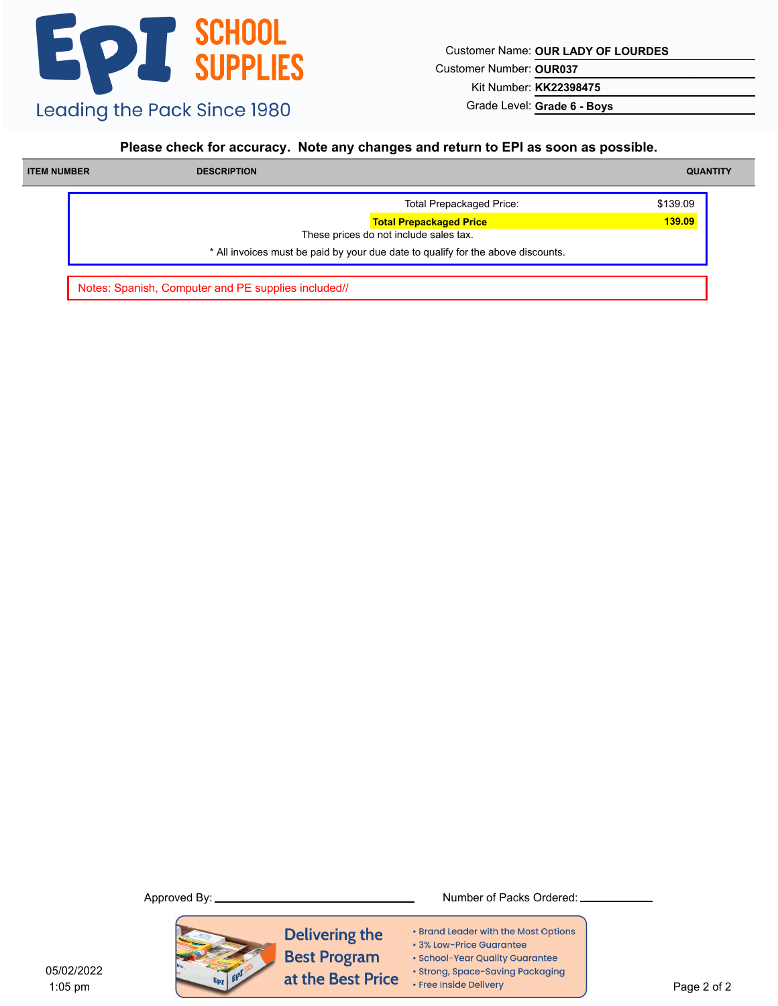Customer Name: **OUR LADY OF LOURDES**

Customer Number: **OUR037**

Kit Number: **KK22398475**

Grade Level: **Grade 6 - Boys**

#### **Please check for accuracy. Note any changes and return to EPI as soon as possible.**

| <b>ITEM NUMBER</b> | <b>DESCRIPTION</b> |                                                                                  | <b>QUANTITY</b> |
|--------------------|--------------------|----------------------------------------------------------------------------------|-----------------|
|                    |                    | <b>Total Prepackaged Price:</b>                                                  | \$139.09        |
|                    |                    | <b>Total Prepackaged Price</b><br>These prices do not include sales tax.         | 139.09          |
|                    |                    | * All invoices must be paid by your due date to qualify for the above discounts. |                 |

Notes: Spanish, Computer and PE supplies included//



**Delivering the Best Program** at the Best Price

Approved By: Number of Packs Ordered:

- Brand Leader with the Most Options
- 3% Low-Price Guarantee
- · School-Year Quality Guarantee
- · Strong, Space-Saving Packaging
- Free Inside Delivery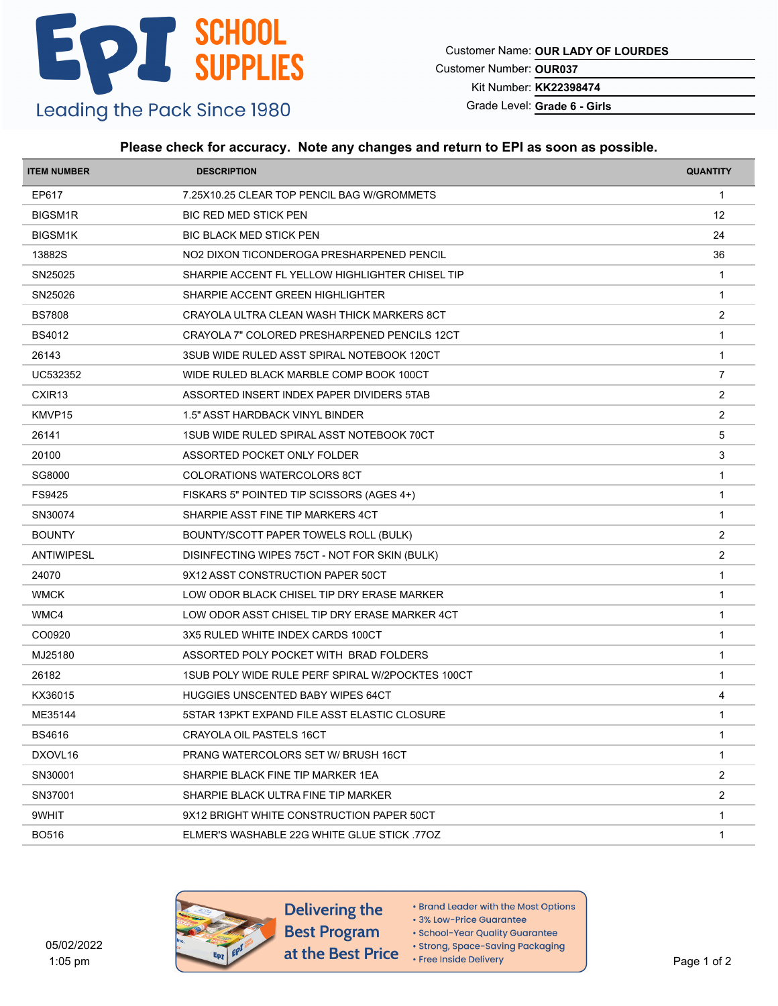Customer Name: **OUR LADY OF LOURDES**

Customer Number: **OUR037**

Kit Number: **KK22398474**

Grade Level: **Grade 6 - Girls**

#### **Please check for accuracy. Note any changes and return to EPI as soon as possible.**

| <b>ITEM NUMBER</b> | <b>DESCRIPTION</b>                               | <b>QUANTITY</b> |
|--------------------|--------------------------------------------------|-----------------|
| EP617              | 7.25X10.25 CLEAR TOP PENCIL BAG W/GROMMETS       | $\mathbf{1}$    |
| <b>BIGSM1R</b>     | <b>BIC RED MED STICK PEN</b>                     | 12              |
| <b>BIGSM1K</b>     | <b>BIC BLACK MED STICK PEN</b>                   | 24              |
| 13882S             | NO2 DIXON TICONDEROGA PRESHARPENED PENCIL        | 36              |
| SN25025            | SHARPIE ACCENT FL YELLOW HIGHLIGHTER CHISEL TIP  | $\mathbf{1}$    |
| SN25026            | SHARPIE ACCENT GREEN HIGHLIGHTER                 | $\mathbf{1}$    |
| <b>BS7808</b>      | CRAYOLA ULTRA CLEAN WASH THICK MARKERS 8CT       | 2               |
| <b>BS4012</b>      | CRAYOLA 7" COLORED PRESHARPENED PENCILS 12CT     | -1              |
| 26143              | 3SUB WIDE RULED ASST SPIRAL NOTEBOOK 120CT       | $\mathbf{1}$    |
| UC532352           | WIDE RULED BLACK MARBLE COMP BOOK 100CT          | $\overline{7}$  |
| CXIR <sub>13</sub> | ASSORTED INSERT INDEX PAPER DIVIDERS 5TAB        | 2               |
| KMVP15             | 1.5" ASST HARDBACK VINYL BINDER                  | 2               |
| 26141              | 1SUB WIDE RULED SPIRAL ASST NOTEBOOK 70CT        | 5               |
| 20100              | ASSORTED POCKET ONLY FOLDER                      | 3               |
| SG8000             | COLORATIONS WATERCOLORS 8CT                      | $\mathbf{1}$    |
| FS9425             | FISKARS 5" POINTED TIP SCISSORS (AGES 4+)        | $\mathbf{1}$    |
| SN30074            | SHARPIE ASST FINE TIP MARKERS 4CT                | $\mathbf{1}$    |
| <b>BOUNTY</b>      | BOUNTY/SCOTT PAPER TOWELS ROLL (BULK)            | 2               |
| ANTIWIPESL         | DISINFECTING WIPES 75CT - NOT FOR SKIN (BULK)    | $\overline{2}$  |
| 24070              | 9X12 ASST CONSTRUCTION PAPER 50CT                | $\mathbf{1}$    |
| <b>WMCK</b>        | LOW ODOR BLACK CHISEL TIP DRY ERASE MARKER       | $\overline{1}$  |
| WMC4               | LOW ODOR ASST CHISEL TIP DRY ERASE MARKER 4CT    | $\mathbf{1}$    |
| CO0920             | 3X5 RULED WHITE INDEX CARDS 100CT                | $\mathbf{1}$    |
| MJ25180            | ASSORTED POLY POCKET WITH BRAD FOLDERS           | $\mathbf{1}$    |
| 26182              | 1SUB POLY WIDE RULE PERF SPIRAL W/2POCKTES 100CT | $\mathbf{1}$    |
| KX36015            | <b>HUGGIES UNSCENTED BABY WIPES 64CT</b>         | 4               |
| ME35144            | 5STAR 13PKT EXPAND FILE ASST ELASTIC CLOSURE     | $\mathbf 1$     |
| <b>BS4616</b>      | CRAYOLA OIL PASTELS 16CT                         | $\mathbf{1}$    |
| DXOVL16            | PRANG WATERCOLORS SET W/ BRUSH 16CT              | -1              |
| SN30001            | SHARPIE BLACK FINE TIP MARKER 1EA                | $\overline{2}$  |
| SN37001            | SHARPIE BLACK ULTRA FINE TIP MARKER              | $\overline{2}$  |
| 9WHIT              | 9X12 BRIGHT WHITE CONSTRUCTION PAPER 50CT        | $\mathbf 1$     |
| <b>BO516</b>       | ELMER'S WASHABLE 22G WHITE GLUE STICK 770Z       | $\mathbf{1}$    |
|                    |                                                  |                 |



Delivering the **Best Program** at the Best Price

• Brand Leader with the Most Options

• 3% Low-Price Guarantee

· School-Year Quality Guarantee

· Strong, Space-Saving Packaging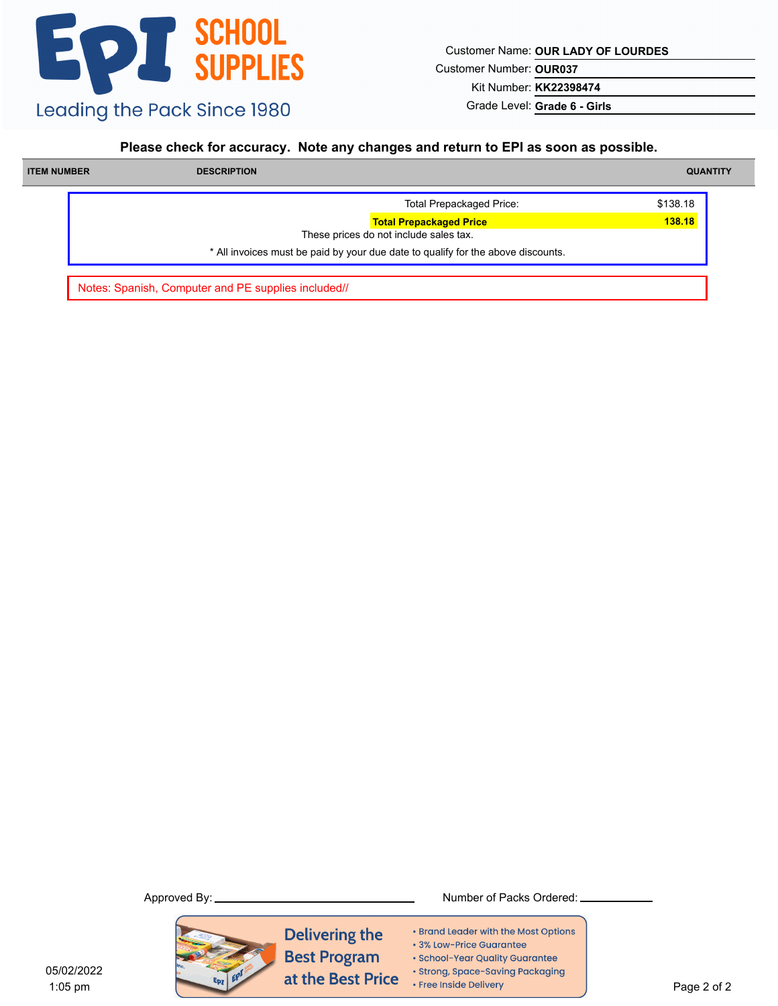Customer Name: **OUR LADY OF LOURDES**

Customer Number: **OUR037**

Kit Number: **KK22398474**

Grade Level: **Grade 6 - Girls**

#### **Please check for accuracy. Note any changes and return to EPI as soon as possible.**

| <b>ITEM NUMBER</b> | <b>DESCRIPTION</b>                                                               | <b>QUANTITY</b> |
|--------------------|----------------------------------------------------------------------------------|-----------------|
|                    | <b>Total Prepackaged Price:</b>                                                  | \$138.18        |
|                    | <b>Total Prepackaged Price</b><br>These prices do not include sales tax.         | 138.18          |
|                    | * All invoices must be paid by your due date to qualify for the above discounts. |                 |

Notes: Spanish, Computer and PE supplies included//



Approved By: Number of Packs Ordered:

- Brand Leader with the Most Options
- 3% Low-Price Guarantee
- · School-Year Quality Guarantee
- · Strong, Space-Saving Packaging
- Free Inside Delivery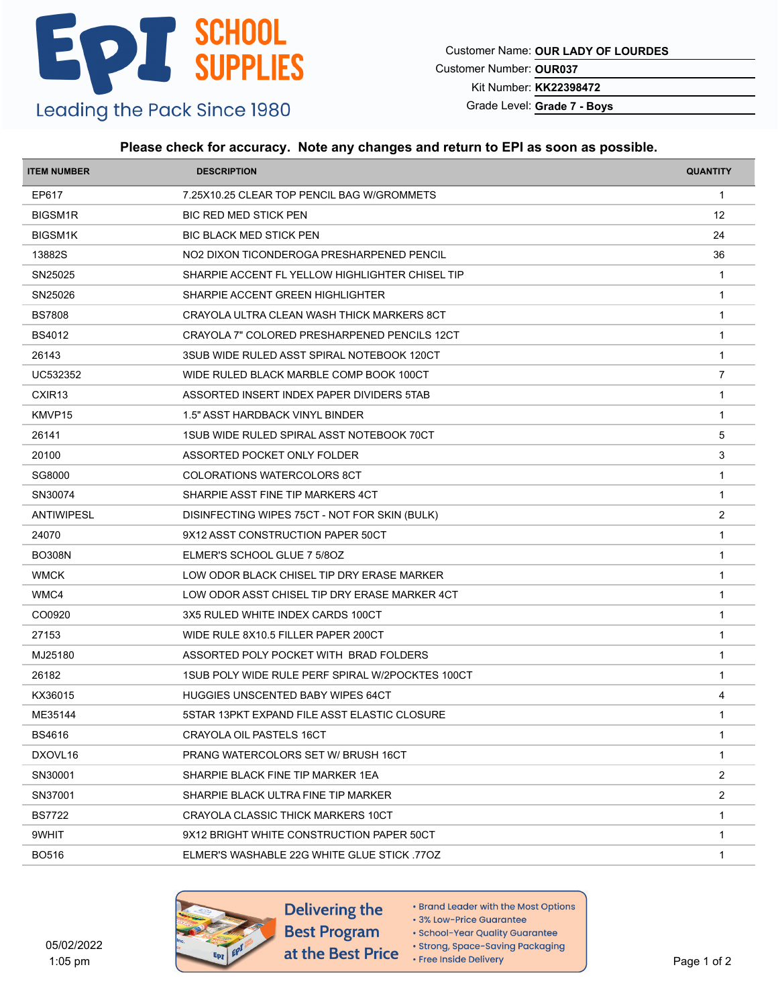Customer Name: **OUR LADY OF LOURDES**

Customer Number: **OUR037**

Kit Number: **KK22398472**

Grade Level: **Grade 7 - Boys**

#### **Please check for accuracy. Note any changes and return to EPI as soon as possible.**

| <b>ITEM NUMBER</b><br><b>DESCRIPTION</b>                           | <b>QUANTITY</b> |
|--------------------------------------------------------------------|-----------------|
| EP617<br>7.25X10.25 CLEAR TOP PENCIL BAG W/GROMMETS                | $\mathbf{1}$    |
| <b>BIGSM1R</b><br><b>BIC RED MED STICK PEN</b>                     | 12              |
| <b>BIGSM1K</b><br><b>BIC BLACK MED STICK PEN</b>                   | 24              |
| 13882S<br>NO2 DIXON TICONDEROGA PRESHARPENED PENCIL                | 36              |
| SN25025<br>SHARPIE ACCENT FL YELLOW HIGHLIGHTER CHISEL TIP         | $\overline{1}$  |
| SN25026<br>SHARPIE ACCENT GREEN HIGHLIGHTER                        | $\mathbf{1}$    |
| <b>BS7808</b><br>CRAYOLA ULTRA CLEAN WASH THICK MARKERS 8CT        | $\overline{1}$  |
| <b>BS4012</b><br>CRAYOLA 7" COLORED PRESHARPENED PENCILS 12CT      | -1              |
| 26143<br>3SUB WIDE RULED ASST SPIRAL NOTEBOOK 120CT                | $\mathbf{1}$    |
| UC532352<br>WIDE RULED BLACK MARBLE COMP BOOK 100CT                | $\overline{7}$  |
| CXIR <sub>13</sub><br>ASSORTED INSERT INDEX PAPER DIVIDERS 5TAB    | 1               |
| KMVP15<br>1.5" ASST HARDBACK VINYL BINDER                          | $\mathbf 1$     |
| 1SUB WIDE RULED SPIRAL ASST NOTEBOOK 70CT<br>26141                 | 5               |
| 20100<br>ASSORTED POCKET ONLY FOLDER                               | 3               |
| SG8000<br>COLORATIONS WATERCOLORS 8CT                              | $\overline{1}$  |
| SN30074<br>SHARPIE ASST FINE TIP MARKERS 4CT                       | $\mathbf 1$     |
| <b>ANTIWIPESL</b><br>DISINFECTING WIPES 75CT - NOT FOR SKIN (BULK) | $\overline{2}$  |
| 24070<br>9X12 ASST CONSTRUCTION PAPER 50CT                         | $\overline{1}$  |
| <b>BO308N</b><br>ELMER'S SCHOOL GLUE 7 5/80Z                       | $\overline{1}$  |
| <b>WMCK</b><br>LOW ODOR BLACK CHISEL TIP DRY ERASE MARKER          | $\mathbf 1$     |
| WMC4<br>LOW ODOR ASST CHISEL TIP DRY ERASE MARKER 4CT              | $\overline{1}$  |
| CO0920<br>3X5 RULED WHITE INDEX CARDS 100CT                        | $\mathbf{1}$    |
| 27153<br>WIDE RULE 8X10.5 FILLER PAPER 200CT                       | 1               |
| MJ25180<br>ASSORTED POLY POCKET WITH BRAD FOLDERS                  | -1              |
| 26182<br>1SUB POLY WIDE RULE PERF SPIRAL W/2POCKTES 100CT          | $\mathbf{1}$    |
| KX36015<br><b>HUGGIES UNSCENTED BABY WIPES 64CT</b>                | 4               |
| ME35144<br>5STAR 13PKT EXPAND FILE ASST ELASTIC CLOSURE            | 1               |
| <b>BS4616</b><br>CRAYOLA OIL PASTELS 16CT                          | $\mathbf{1}$    |
| DXOVL16<br><b>PRANG WATERCOLORS SET W/ BRUSH 16CT</b>              | 1               |
| SN30001<br>SHARPIE BLACK FINE TIP MARKER 1EA                       | $\overline{2}$  |
| SN37001<br>SHARPIE BLACK ULTRA FINE TIP MARKER                     | $\overline{2}$  |
| <b>BS7722</b><br>CRAYOLA CLASSIC THICK MARKERS 10CT                | $\mathbf 1$     |
| 9WHIT<br>9X12 BRIGHT WHITE CONSTRUCTION PAPER 50CT                 | $\mathbf{1}$    |
| <b>BO516</b><br>ELMER'S WASHABLE 22G WHITE GLUE STICK .77OZ        | $\mathbf{1}$    |



- Brand Leader with the Most Options
- 3% Low-Price Guarantee
- · School-Year Quality Guarantee
- · Strong, Space-Saving Packaging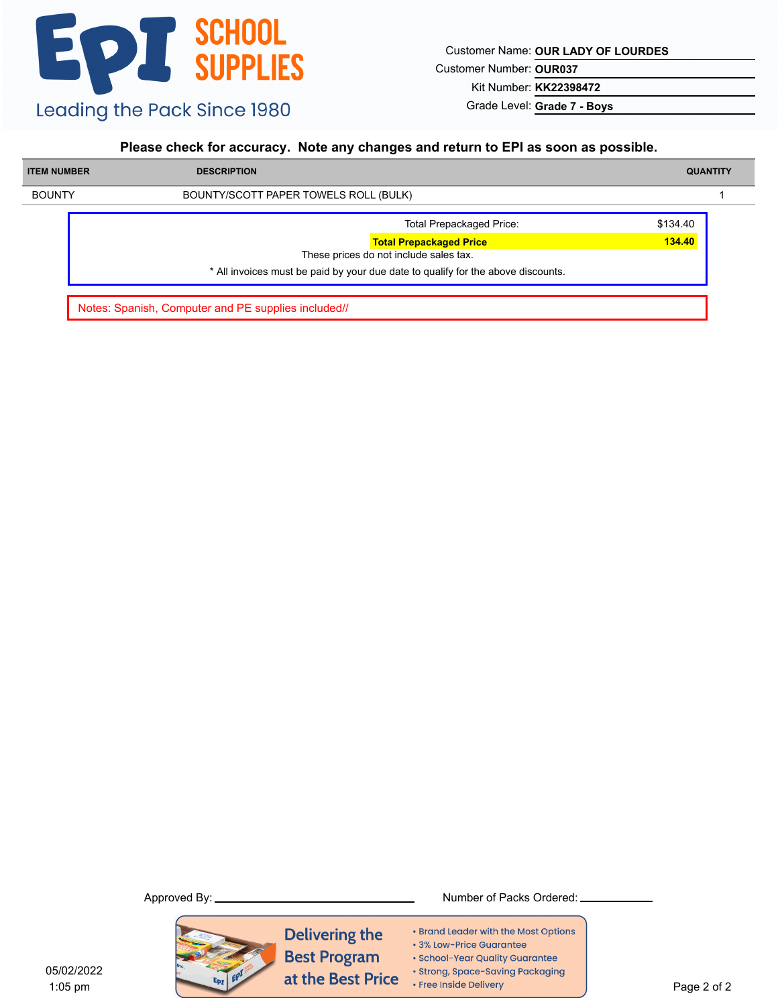Customer Name: **OUR LADY OF LOURDES**

Customer Number: **OUR037**

Kit Number: **KK22398472**

Grade Level: **Grade 7 - Boys**

### **Please check for accuracy. Note any changes and return to EPI as soon as possible.**

| <b>DESCRIPTION</b>                                                               | <b>QUANTITY</b> |
|----------------------------------------------------------------------------------|-----------------|
| BOUNTY/SCOTT PAPER TOWELS ROLL (BULK)                                            |                 |
| <b>Total Prepackaged Price:</b>                                                  | \$134.40        |
| <b>Total Prepackaged Price</b>                                                   | 134.40          |
| These prices do not include sales tax.                                           |                 |
| * All invoices must be paid by your due date to qualify for the above discounts. |                 |
|                                                                                  |                 |

Notes: Spanish, Computer and PE supplies included//



Delivering the **Best Program** at the Best Price

- Brand Leader with the Most Options
- 3% Low-Price Guarantee
- · School-Year Quality Guarantee
- · Strong, Space-Saving Packaging
- Free Inside Delivery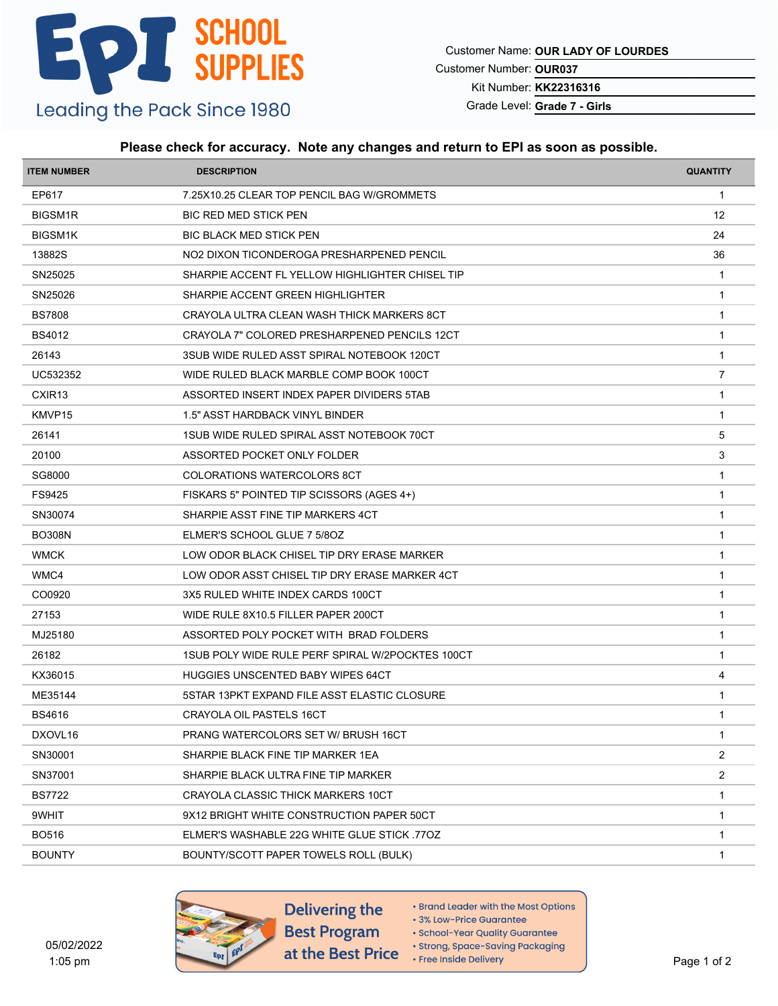Customer Name: **OUR LADY OF LOURDES**

Customer Number: **OUR037**

Kit Number: **KK22316316**

Grade Level: **Grade 7 - Girls**

#### **Please check for accuracy. Note any changes and return to EPI as soon as possible.**

| <b>ITEM NUMBER</b> | <b>DESCRIPTION</b>                               | <b>QUANTITY</b> |
|--------------------|--------------------------------------------------|-----------------|
| EP617              | 7.25X10.25 CLEAR TOP PENCIL BAG W/GROMMETS       | $\mathbf{1}$    |
| <b>BIGSM1R</b>     | <b>BIC RED MED STICK PEN</b>                     | 12              |
| <b>BIGSM1K</b>     | <b>BIC BLACK MED STICK PEN</b>                   | 24              |
| 13882S             | NO2 DIXON TICONDEROGA PRESHARPENED PENCIL        | 36              |
| SN25025            | SHARPIE ACCENT FL YELLOW HIGHLIGHTER CHISEL TIP  | $\overline{1}$  |
| SN25026            | SHARPIE ACCENT GREEN HIGHLIGHTER                 | $\mathbf{1}$    |
| <b>BS7808</b>      | CRAYOLA ULTRA CLEAN WASH THICK MARKERS 8CT       | $\overline{1}$  |
| <b>BS4012</b>      | CRAYOLA 7" COLORED PRESHARPENED PENCILS 12CT     | -1              |
| 26143              | 3SUB WIDE RULED ASST SPIRAL NOTEBOOK 120CT       | $\mathbf{1}$    |
| UC532352           | WIDE RULED BLACK MARBLE COMP BOOK 100CT          | $\overline{7}$  |
| CXIR <sub>13</sub> | ASSORTED INSERT INDEX PAPER DIVIDERS 5TAB        | -1              |
| KMVP15             | 1.5" ASST HARDBACK VINYL BINDER                  | $\mathbf 1$     |
| 26141              | 1SUB WIDE RULED SPIRAL ASST NOTEBOOK 70CT        | 5               |
| 20100              | ASSORTED POCKET ONLY FOLDER                      | 3               |
| SG8000             | <b>COLORATIONS WATERCOLORS 8CT</b>               | $\overline{1}$  |
| FS9425             | FISKARS 5" POINTED TIP SCISSORS (AGES 4+)        | $\mathbf 1$     |
| SN30074            | SHARPIE ASST FINE TIP MARKERS 4CT                | $\mathbf{1}$    |
| <b>BO308N</b>      | ELMER'S SCHOOL GLUE 7 5/80Z                      | $\overline{1}$  |
| <b>WMCK</b>        | LOW ODOR BLACK CHISEL TIP DRY ERASE MARKER       | $\mathbf{1}$    |
| WMC4               | LOW ODOR ASST CHISEL TIP DRY ERASE MARKER 4CT    | $\mathbf 1$     |
| CO0920             | 3X5 RULED WHITE INDEX CARDS 100CT                | $\overline{1}$  |
| 27153              | WIDE RULE 8X10.5 FILLER PAPER 200CT              | $\mathbf{1}$    |
| MJ25180            | ASSORTED POLY POCKET WITH BRAD FOLDERS           | $\mathbf{1}$    |
| 26182              | 1SUB POLY WIDE RULE PERF SPIRAL W/2POCKTES 100CT | -1              |
| KX36015            | <b>HUGGIES UNSCENTED BABY WIPES 64CT</b>         | 4               |
| ME35144            | 5STAR 13PKT EXPAND FILE ASST ELASTIC CLOSURE     | -1              |
| <b>BS4616</b>      | CRAYOLA OIL PASTELS 16CT                         | $\mathbf{1}$    |
| DXOVL16            | PRANG WATERCOLORS SET W/ BRUSH 16CT              | $\mathbf{1}$    |
| SN30001            | SHARPIE BLACK FINE TIP MARKER 1EA                | $\overline{2}$  |
| SN37001            | SHARPIE BLACK ULTRA FINE TIP MARKER              | $\overline{2}$  |
| <b>BS7722</b>      | CRAYOLA CLASSIC THICK MARKERS 10CT               | $\mathbf{1}$    |
| 9WHIT              | 9X12 BRIGHT WHITE CONSTRUCTION PAPER 50CT        | $\mathbf 1$     |
| <b>BO516</b>       | ELMER'S WASHABLE 22G WHITE GLUE STICK 770Z       | $\mathbf{1}$    |
| <b>BOUNTY</b>      | BOUNTY/SCOTT PAPER TOWELS ROLL (BULK)            | $\mathbf{1}$    |
|                    |                                                  |                 |





- Brand Leader with the Most Options
- 3% Low-Price Guarantee
- · School-Year Quality Guarantee · Strong, Space-Saving Packaging
- Free Inside Delivery